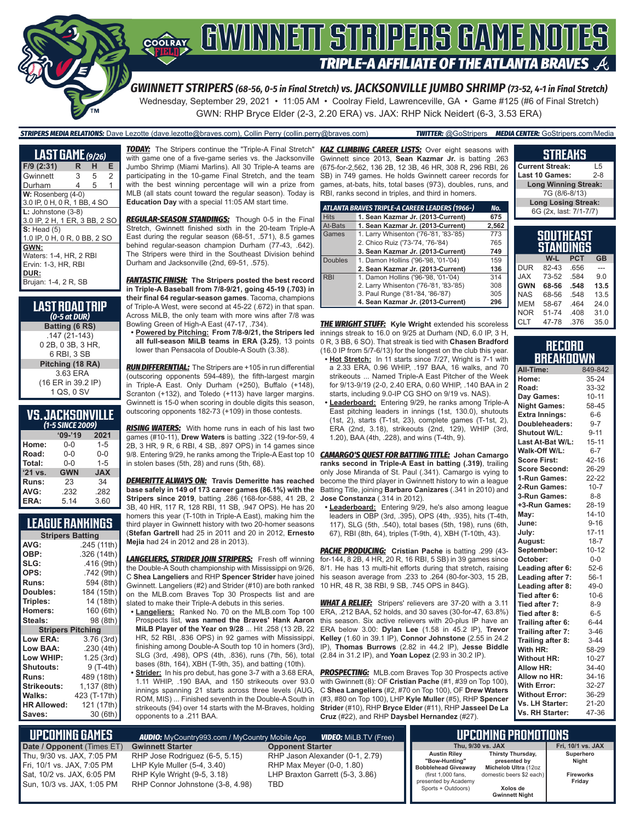

*GWINNETT STRIPERS (68-56, 0-5 in Final Stretch) vs. JACKSONVILLE JUMBO SHRIMP (73-52, 4-1 in Final Stretch)* Wednesday, September 29, 2021 • 11:05 AM • Coolray Field, Lawrenceville, GA • Game #125 (#6 of Final Stretch) GWN: RHP Bryce Elder (2-3, 2.20 ERA) vs. JAX: RHP Nick Neidert (6-3, 3.53 ERA)

*STRIPERS MEDIA RELATIONS:* Dave Lezotte (dave.lezotte@braves.com), Collin Perry (collin.perry@braves.com) *TWITTER:* @GoStripers *MEDIA CENTER:* GoStripers.com/Media

| <b>LAST GAME</b> (9/26)                                                               |    |   |   |
|---------------------------------------------------------------------------------------|----|---|---|
| $F/9$ (2:31)                                                                          | R. | н | Е |
| Gwinnett                                                                              | 3  | 5 | 2 |
| Durham                                                                                | 4  | 5 | 1 |
| $W: Rosenberg (4-0)$<br>3.0 IP, 0 H, 0 R, 1 BB, 4 SO                                  |    |   |   |
| $L:$ Johnstone $(3-8)$<br>3.0 IP, 2 H, 1 ER, 3 BB, 2 SO                               |    |   |   |
| S: Head(5)<br>1.0 IP, 0 H, 0 R, 0 BB, 2 SO                                            |    |   |   |
| GWN:<br>Waters: 1-4, HR, 2 RBI<br>Ervin: 1-3, HR, RBI<br>DUR:<br>Brujan: 1-4, 2 R, SB |    |   |   |

| LAST ROAD TRIP<br>$(0-5$ at DUR) |
|----------------------------------|
| Batting (6 RS)                   |
| $.147(21-143)$                   |
| 0 2B, 0 3B, 3 HR,                |
| 6 RBI, 3 SB                      |
| Pitching (18 RA)                 |
| 3.63 ERA                         |
| (16 ER in 39.2 IP)               |
| 1 QS, 0 SV                       |

## **VS. JACKSONVILLE**

| (1-5 SINCE 2009) |            |            |  |  |  |  |  |
|------------------|------------|------------|--|--|--|--|--|
|                  | $'09-'19$  | 2021       |  |  |  |  |  |
| Home:            | 0-0        | $1 - 5$    |  |  |  |  |  |
| Road:            | $0 - 0$    | $0 - 0$    |  |  |  |  |  |
| Total:           | $0 - 0$    | $1 - 5$    |  |  |  |  |  |
| '21 vs.          | <b>GWN</b> | <b>JAX</b> |  |  |  |  |  |
| Runs:            | 23         | 34         |  |  |  |  |  |
| AVG:             | .232       | .282       |  |  |  |  |  |
| ERA:             | 5.14       | 3.60       |  |  |  |  |  |

### **LEAGUE RANKINGS**

| <b>Stripers Batting</b>  |              |  |  |  |  |
|--------------------------|--------------|--|--|--|--|
| AVG:                     | .245 (11th)  |  |  |  |  |
| OBP:                     | .326 (14th)  |  |  |  |  |
| SLG:                     | .416 (9th)   |  |  |  |  |
| OPS:                     | .742 (9th)   |  |  |  |  |
| <b>Runs:</b>             | 594 (8th)    |  |  |  |  |
| Doubles:                 | 184 (15th)   |  |  |  |  |
| Triples:                 | 14 (18th)    |  |  |  |  |
| <b>Homers:</b>           | 160 (6th)    |  |  |  |  |
| Steals:                  | 98 (8th)     |  |  |  |  |
| <b>Stripers Pitching</b> |              |  |  |  |  |
| <b>Low ERA:</b>          | 3.76 (3rd)   |  |  |  |  |
| <b>Low BAA:</b>          | .230(4th)    |  |  |  |  |
| Low WHIP:                | 1.25 (3rd)   |  |  |  |  |
| <b>Shutouts:</b>         | 9 (T-4th)    |  |  |  |  |
| <b>Runs:</b>             | 489 (18th)   |  |  |  |  |
| Strikeouts:              | 1,137 (8th)  |  |  |  |  |
| Walks:                   | 423 (T-17th) |  |  |  |  |
| <b>HR Allowed:</b>       | 121 (17th)   |  |  |  |  |
| Saves:                   | 30 (6th)     |  |  |  |  |

*TODAY:* The Stripers continue the "Triple-A Final Stretch" *KAZ CLIMBING CAREER LISTS:* Over eight seasons with with game one of a five-game series vs. the Jacksonville Jumbo Shrimp (Miami Marlins). All 30 Triple-A teams are participating in the 10-game Final Stretch, and the team with the best winning percentage will win a prize from MLB (all stats count toward the regular season). Today is **Education Day** with a special 11:05 AM start time.

*REGULAR-SEASON STANDINGS:* Though 0-5 in the Final Stretch, Gwinnett finished sixth in the 20-team Triple-A East during the regular season (68-51, .571), 8.5 games behind regular-season champion Durham (77-43, .642). The Stripers were third in the Southeast Division behind Durham and Jacksonville (2nd, 69-51, .575).

*FANTASTIC FINISH:* **The Stripers posted the best record in Triple-A Baseball from 7/8-9/21, going 45-19 (.703) in their final 64 regular-season games**. Tacoma, champions of Triple-A West, were second at 45-22 (.672) in that span. Across MiLB, the only team with more wins after 7/8 was Bowling Green of High-A East (47-17, .734).

**• Powered by Pitching: From 7/8-9/21, the Stripers led all full-season MiLB teams in ERA (3.25)**, 13 points lower than Pensacola of Double-A South (3.38).

*RUN DIFFERENTIAL:* The Stripers are +105 in run differential (outscoring opponents 594-489), the fifth-largest margin in Triple-A East. Only Durham (+250), Buffalo (+148), Scranton (+132), and Toledo (+113) have larger margins. Gwinnett is 15-0 when scoring in double digits this season, outscoring opponents 182-73 (+109) in those contests.

*RISING WATERS:* With home runs in each of his last two games (#10-11), **Drew Waters** is batting .322 (19-for-59, 4 2B, 3 HR, 9 R, 6 RBI, 4 SB, .897 OPS) in 14 games since in stolen bases (5th, 28) and runs (5th, 68).

*DEMERITTE ALWAYS ON:* **Travis Demeritte has reached base safely in 149 of 173 career games (86.1%) with the Stripers since 2019**, batting .286 (168-for-588, 41 2B, 2 3B, 40 HR, 117 R, 128 RBI, 11 SB, .947 OPS). He has 20 homers this year (T-10th in Triple-A East), making him the

third player in Gwinnett history with two 20-homer seasons (**Stefan Gartrell** had 25 in 2011 and 20 in 2012, **Ernesto Mejia** had 24 in 2012 and 28 in 2013).

*LANGELIERS, STRIDER JOIN STRIPERS:* Fresh off winning the Double-A South championship with Mississippi on 9/26, C **Shea Langeliers** and RHP **Spencer Strider** have joined Gwinnett. Langeliers (#2) and Strider (#10) are both ranked on the MLB.com Braves Top 30 Prospects list and are slated to make their Triple-A debuts in this series.

**• Langeliers:** Ranked No. 70 on the MLB.com Top 100 Prospects list, **was named the Braves' Hank Aaron MiLB Player of the Year on 9/28** ... Hit .258 (13 2B, 22 HR, 52 RBI, .836 OPS) in 92 games with Mississippi, finishing among Double-A South top 10 in homers (3rd), SLG (3rd, .498), OPS (4th, .836), runs (7th, 56), total bases (8th, 164), XBH (T-9th, 35), and batting (10th).

**• Strider:** In his pro debut, has gone 3-7 with a 3.68 ERA, 1.11 WHIP, .190 BAA, and 150 strikeouts over 93.0 innings spanning 21 starts across three levels (AUG, ROM, MIS) ... Finished seventh in the Double-A South in strikeouts (94) over 14 starts with the M-Braves, holding opponents to a .211 BAA.

Gwinnett since 2013, **Sean Kazmar Jr.** is batting .263 (675-for-2,562, 136 2B, 12 3B, 46 HR, 308 R, 296 RBI, 26 SB) in 749 games. He holds Gwinnett career records for games, at-bats, hits, total bases (973), doubles, runs, and RBI, ranks second in triples, and third in homers.

| ATLANTA BRAVES TRIPLE-A CAREER LEADERS (1966-) |                                       |       |  |  |  |  |  |  |
|------------------------------------------------|---------------------------------------|-------|--|--|--|--|--|--|
| <b>Hits</b>                                    | 1. Sean Kazmar Jr. (2013-Current)     | 675   |  |  |  |  |  |  |
| At-Bats                                        | 1. Sean Kazmar Jr. (2013-Current)     | 2.562 |  |  |  |  |  |  |
| Games                                          | 1. Larry Whisenton ('76-'81, '83-'85) | 773   |  |  |  |  |  |  |
|                                                | 2. Chico Ruiz ('73-'74, '76-'84)      | 765   |  |  |  |  |  |  |
|                                                | 3. Sean Kazmar Jr. (2013-Current)     | 749   |  |  |  |  |  |  |
| <b>Doubles</b>                                 | 1. Damon Hollins ('96-'98, '01-'04)   | 159   |  |  |  |  |  |  |
|                                                | 2. Sean Kazmar Jr. (2013-Current)     | 136   |  |  |  |  |  |  |
| <b>RBI</b>                                     | 1. Damon Hollins ('96-'98, '01-'04)   | 314   |  |  |  |  |  |  |
|                                                | 2. Larry Whisenton ('76-'81, '83-'85) | 308   |  |  |  |  |  |  |
|                                                | 3. Paul Runge ('81-'84, '86-'87)      | 305   |  |  |  |  |  |  |
|                                                | 4. Sean Kazmar Jr. (2013-Current)     | 296   |  |  |  |  |  |  |

*THE WRIGHT STUFF:* **Kyle Wright** extended his scoreless innings streak to 16.0 on 9/25 at Durham (ND, 6.0 IP, 3 H 0 R, 3 BB, 6 SO). That streak is tied with **Chasen Bradford** (16.0 IP from 5/7-6/13) for the longest on the club this year.

- **• Hot Stretch:** In 11 starts since 7/27, Wright is 7-1 with a 2.33 ERA, 0.96 WHIP, .197 BAA, 16 walks, and 70 strikeouts ... Named Triple-A East Pitcher of the Week for 9/13-9/19 (2-0, 2.40 ERA, 0.60 WHIP, .140 BAA in 2 starts, including 9.0-IP CG SHO on 9/19 vs. NAS).
- **• Leaderboard:** Entering 9/29, he ranks among Triple-A East pitching leaders in innings (1st, 130.0), shutouts (1st, 2), starts (T-1st, 23), complete games (T-1st, 2), ERA (2nd, 3.18), strikeouts (2nd, 129), WHIP (3rd, 1.20), BAA (4th, .228), and wins (T-4th, 9).

9/8. Entering 9/29, he ranks among the Triple-A East top 10 *CAMARGO'S QUEST FOR BATTING TITLE:* **Johan Camargo ranks second in Triple-A East in batting (.319)**, trailing only Jose Miranda of St. Paul (.341). Camargo is vying to become the third player in Gwinnett history to win a league Batting Title, joining **Barbaro Canizares** (.341 in 2010) and **Jose Constanza** (.314 in 2012).

**• Leaderboard:** Entering 9/29, he's also among league leaders in OBP (3rd, .395), OPS (4th, .935), hits (T-4th, 117), SLG (5th, .540), total bases (5th, 198), runs (6th, 67), RBI (8th, 64), triples (T-9th, 4), XBH (T-10th, 43).

*PACHE PRODUCING:* **Cristian Pache** is batting .299 (43 for-144, 8 2B, 4 HR, 20 R, 16 RBI, 5 SB) in 39 games since 8/1. He has 13 multi-hit efforts during that stretch, raising his season average from .233 to .264 (80-for-303, 15 2B, 10 HR, 48 R, 38 RBI, 9 SB, .745 OPS in 84G).

*WHAT A RELIEF:* Stripers' relievers are 37-20 with a 3.11 ERA, .212 BAA, 52 holds, and 30 saves (30-for-47, 63.8%) this season. Six active relievers with 20-plus IP have an ERA below 3.00: **Dylan Lee** (1.58 in 45.2 IP), **Trevor Kelley** (1.60 in 39.1 IP), **Connor Johnstone** (2.55 in 24.2 IP), **Thomas Burrows** (2.82 in 44.2 IP), **Jesse Biddle** (2.84 in 31.2 IP), and **Yoan Lopez** (2.93 in 30.2 IP).

**PROSPECTING:** MLB.com Braves Top 30 Prospects active with Gwinnett (8): OF **Cristian Pache** (#1, #39 on Top 100), C **Shea Langeliers** (#2, #70 on Top 100), OF **Drew Waters** (#3, #80 on Top 100), LHP **Kyle Muller** (#5), RHP **Spencer Strider** (#10), RHP **Bryce Elder** (#11), RHP **Jasseel De La Cruz** (#22), and RHP **Daysbel Hernandez** (#27).

| 7G (8/6-8/13)              |                        |            |           |  |  |  |  |
|----------------------------|------------------------|------------|-----------|--|--|--|--|
| <b>Long Losing Streak:</b> |                        |            |           |  |  |  |  |
|                            | 6G (2x, last: 7/1-7/7) |            |           |  |  |  |  |
|                            |                        |            |           |  |  |  |  |
|                            |                        |            |           |  |  |  |  |
| <b>SOUTHEAST</b>           |                        |            |           |  |  |  |  |
|                            |                        |            |           |  |  |  |  |
|                            | STANDINGS              |            |           |  |  |  |  |
|                            | $W-L$                  | <b>PCT</b> | <b>GB</b> |  |  |  |  |
| <b>DUR</b>                 | 82-43                  | .656       |           |  |  |  |  |
| <b>XAL</b>                 | 73-52                  | .584       | 9.0       |  |  |  |  |
| <b>GWN</b>                 | 68-56                  | .548       | 13.5      |  |  |  |  |

**STREAKS Current Streak:** L5 Last 10 Games:

**Long Winning Streak:**

| RECORO           |  |
|------------------|--|
|                  |  |
|                  |  |
|                  |  |
| <b>BREAKDOWN</b> |  |

MEM 58-67 .464 24.0<br>NOR 51-74 408 31.0 .408 CLT 47-78 .376 35.0

| All-Time:             | 849-842   |
|-----------------------|-----------|
| Home:                 | 35-24     |
| Road:                 | 33-32     |
| Day Games:            | $10 - 11$ |
| <b>Night Games:</b>   | 58-45     |
| <b>Extra Innings:</b> | $6-6$     |
| Doubleheaders:        | $9 - 7$   |
| Shutout W/L:          | $9 - 11$  |
| Last At-Bat W/L:      | $15 - 11$ |
| Walk-Off W/L:         | $6 - 7$   |
| <b>Score First:</b>   | 42-16     |
| <b>Score Second:</b>  | 26-29     |
| 1-Run Games:          | 22-22     |
| 2-Run Games:          | $10 - 7$  |
| 3-Run Games:          | $8 - 8$   |
| +3-Run Games:         | 28-19     |
| Mav:                  | $14 - 10$ |
| June:                 | $9 - 16$  |
| July:                 | $17 - 11$ |
| August:               | $18 - 7$  |
| September:            | $10 - 12$ |
| October:              | $0-0$     |
| Leading after 6:      | $52-6$    |
| Leading after 7:      | $56-1$    |
| Leading after 8:      | 49-0      |
| Tied after 6:         | $10-6$    |
| Tied after 7:         | $8 - 9$   |
| Tied after 8:         | $6 - 5$   |
| Trailing after 6:     | $6 - 44$  |
| Trailing after 7:     | $3-46$    |
| Trailing after 8:     | $3 - 44$  |
| With HR:              | 58-29     |
| <b>Without HR:</b>    | $10 - 27$ |
| <b>Allow HR:</b>      | 34-40     |
| Allow no HR:          | 34-16     |
| <b>With Error:</b>    | 32-27     |
| <b>Without Error:</b> | 36-29     |
| Vs. LH Starter:       | $21 - 20$ |
| Vs. RH Starter:       | 47-36     |

| <b>UPCOMING GAMES</b>                                                                                                | <b>AUDIO:</b> MyCountry993.com / MyCountry Mobile App                                                                              | <b>VIDEO:</b> MiLB.TV (Free)                                                                           |                                                                                                                                        | UPCOMING PROMOTIONS .                                                                                                      |                                                  |
|----------------------------------------------------------------------------------------------------------------------|------------------------------------------------------------------------------------------------------------------------------------|--------------------------------------------------------------------------------------------------------|----------------------------------------------------------------------------------------------------------------------------------------|----------------------------------------------------------------------------------------------------------------------------|--------------------------------------------------|
| Date / Opponent (Times ET)                                                                                           | <b>Gwinnett Starter</b>                                                                                                            | <b>Opponent Starter</b>                                                                                |                                                                                                                                        | Thu. 9/30 vs. JAX                                                                                                          | Fri, 10/1 vs. JAX                                |
| Thu, 9/30 vs. JAX, 7:05 PM<br>Fri, 10/1 vs. JAX, 7:05 PM<br>Sat, 10/2 vs. JAX, 6:05 PM<br>Sun, 10/3 vs. JAX, 1:05 PM | RHP Jose Rodriguez (6-5, 5.15)<br>LHP Kyle Muller $(5-4, 3.40)$<br>RHP Kyle Wright (9-5, 3.18)<br>RHP Connor Johnstone (3-8, 4.98) | RHP Jason Alexander (0-1, 2.79)<br>RHP Max Meyer (0-0, 1.80)<br>LHP Braxton Garrett (5-3, 3.86)<br>TBD | <b>Austin Rilev</b><br>"Bow-Huntina"<br><b>Bobblehead Giveaway</b><br>(first 1,000 fans,<br>presented by Academy<br>Sports + Outdoors) | Thirsty Thursday,<br>presented by<br>Michelob Ultra (12oz<br>domestic beers \$2 each)<br>Xolos de<br><b>Gwinnett Night</b> | Superhero<br>Night<br><b>Fireworks</b><br>Friday |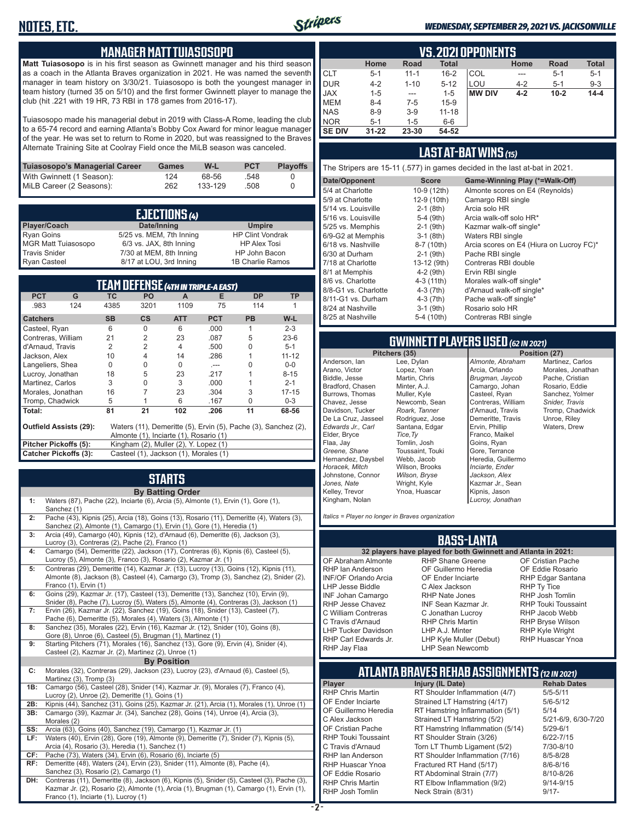

**Matt Tuiasosopo** is in his first season as Gwinnett manager and his third season as a coach in the Atlanta Braves organization in 2021. He was named the seventh manager in team history on 3/30/21. Tuiasosopo is both the youngest manager in team history (turned 35 on 5/10) and the first former Gwinnett player to manage the club (hit .221 with 19 HR, 73 RBI in 178 games from 2016-17).

Tuiasosopo made his managerial debut in 2019 with Class-A Rome, leading the club to a 65-74 record and earning Atlanta's Bobby Cox Award for minor league manager of the year. He was set to return to Rome in 2020, but was reassigned to the Braves Alternate Training Site at Coolray Field once the MiLB season was canceled.

| Tuiasosopo's Managerial Career | Games | W-L     | <b>PCT</b> | <b>Playoffs</b> |
|--------------------------------|-------|---------|------------|-----------------|
| With Gwinnett (1 Season):      | 124   | 68-56   | .548       |                 |
| MiLB Career (2 Seasons):       | 262   | 133-129 | .508       |                 |

|                            | <b>EJECTIONS (4)</b>     |                         |
|----------------------------|--------------------------|-------------------------|
| Player/Coach               | Date/Inning              | <b>Umpire</b>           |
| <b>Ryan Goins</b>          | 5/25 vs. MEM, 7th Inning | <b>HP Clint Vondrak</b> |
| <b>MGR Matt Tuiasosopo</b> | 6/3 vs. JAX, 8th Inning  | <b>HP Alex Tosi</b>     |
| <b>Travis Snider</b>       | 7/30 at MEM, 8th Inning  | HP John Bacon           |
| <b>Ryan Casteel</b>        | 8/17 at LOU, 3rd Inning  | 1B Charlie Ramos        |

|                              |                        |           |               | <b>TEAM DEFENSE (4TH IN TRIPLE-A EAST)</b> |            | 8/6 vs. Charlotte<br>8/8-G1 vs. Charlotte | $4-3(11th)$<br>$4-3(7th)$                                      | Morales walk-off sinc<br>d'Arnaud walk-off sin |                              |                                       |
|------------------------------|------------------------|-----------|---------------|--------------------------------------------|------------|-------------------------------------------|----------------------------------------------------------------|------------------------------------------------|------------------------------|---------------------------------------|
| <b>PCT</b>                   | G                      | <b>TC</b> | PO.           | A                                          | Е          | <b>DP</b>                                 | <b>TP</b>                                                      | 8/11-G1 vs. Durham                             | 4-3 (7th)                    | Pache walk-off single                 |
| .983                         | 124                    | 4385      | 3201          | 1109                                       | 75         | 114                                       |                                                                | 8/24 at Nashville                              | $3-1$ (9th)                  | Rosario solo HR                       |
| <b>Catchers</b>              |                        | <b>SB</b> | $\mathsf{cs}$ | <b>ATT</b>                                 | <b>PCT</b> | <b>PB</b>                                 | W-L                                                            | 8/25 at Nashville                              | 5-4 (10th)                   | Contreras RBI single                  |
| Casteel, Ryan                |                        | 6         | $\Omega$      | 6                                          | .000       |                                           | $2 - 3$                                                        |                                                |                              |                                       |
| Contreras, William           |                        | 21        | 2             | 23                                         | .087       | 5                                         | $23-6$                                                         |                                                |                              |                                       |
| d'Arnaud, Travis             |                        |           |               |                                            | .500       |                                           | $5 - 1$                                                        |                                                |                              | <b>GWINNETT PLAYERS USED (62 IN 2</b> |
| Jackson, Alex                |                        | 10        |               | 14                                         | .286       |                                           | $11 - 12$                                                      |                                                | Pitchers (35)                | Pos                                   |
| Langeliers, Shea             |                        | 0         |               | 0                                          | $-$        |                                           | $0-0$                                                          | Anderson, lan                                  | Lee, Dylan                   | Almonte, Abraham                      |
| Lucroy, Jonathan             |                        | 18        | 5             | 23                                         | .217       |                                           | $8 - 15$                                                       | Arano, Victor                                  | Lopez, Yoan                  | Arcia, Orlando                        |
| Martinez, Carlos             |                        |           |               | 3                                          | .000       |                                           | $2 - 1$                                                        | Biddle, Jesse                                  | Martin, Chris                | Brugman, Jaycob                       |
| Morales, Jonathan            |                        | 16        |               | 23                                         | .304       | 3                                         | $17 - 15$                                                      | Bradford, Chasen<br>Burrows, Thomas            | Minter, A.J.<br>Muller, Kyle | Camargo, Johan<br>Casteel, Ryan       |
| Tromp, Chadwick              |                        | 5         |               | 6                                          | .167       |                                           | $0 - 3$                                                        | Chavez, Jesse                                  | Newcomb, Sean                | Contreras, William                    |
| Total:                       |                        | 81        | 21            | 102                                        | .206       | 11                                        | 68-56                                                          | Davidson, Tucker                               | Roark, Tanner                | d'Arnaud, Travis                      |
|                              |                        |           |               |                                            |            |                                           |                                                                | De La Cruz, Jasseel                            | Rodriguez, Jose              | Demeritte, Travis                     |
|                              | Outfield Assists (29): |           |               |                                            |            |                                           | Waters (11), Demeritte (5), Ervin (5), Pache (3), Sanchez (2), | Edwards Jr., Carl                              | Santana, Edgar               | Ervin, Phillip                        |
|                              |                        |           |               | Almonte (1), Inciarte (1), Rosario (1)     |            |                                           |                                                                | Elder, Bryce                                   | Tice, Ty                     | Franco, Maikel                        |
| Pitcher Pickoffs (5):        |                        |           |               | Kingham (2), Muller (2), Y. Lopez (1)      |            |                                           |                                                                | Flaa, Jay                                      | Tomlin, Josh                 | Goins, Ryan                           |
| <b>Catcher Pickoffs (3):</b> |                        |           |               | Casteel (1), Jackson (1), Morales (1)      |            |                                           |                                                                | Greene, Shane                                  | Toussaint, Touki             | Gore, Terrance                        |
|                              |                        |           |               |                                            |            |                                           |                                                                | Hernandez Davshel                              | Webb Jacob                   | Heredia Guillermo                     |

# **STARTS**

|     | <b>By Batting Order</b>                                                                                                                                                                                                          |
|-----|----------------------------------------------------------------------------------------------------------------------------------------------------------------------------------------------------------------------------------|
| 1:  | Waters (87), Pache (22), Inciarte (6), Arcia (5), Almonte (1), Ervin (1), Gore (1),<br>Sanchez (1)                                                                                                                               |
| 2:  | Pache (43), Kipnis (25), Arcia (18), Goins (13), Rosario (11), Demeritte (4), Waters (3),<br>Sanchez (2), Almonte (1), Camargo (1), Ervin (1), Gore (1), Heredia (1)                                                             |
| 3:  | Arcia (49), Camargo (40), Kipnis (12), d'Arnaud (6), Demeritte (6), Jackson (3),<br>Lucroy (3), Contreras (2), Pache (2), Franco (1)                                                                                             |
| 4:  | Camargo (54), Demeritte (22), Jackson (17), Contreras (6), Kipnis (6), Casteel (5),<br>Lucroy (5), Almonte (3), Franco (3), Rosario (2), Kazmar Jr. (1)                                                                          |
| 5:  | Contreras (29), Demeritte (14), Kazmar Jr. (13), Lucroy (13), Goins (12), Kipnis (11),<br>Almonte (8), Jackson (8), Casteel (4), Camargo (3), Tromp (3), Sanchez (2), Snider (2),<br>Franco (1), Ervin (1)                       |
| 6:  | Goins (29), Kazmar Jr. (17), Casteel (13), Demeritte (13), Sanchez (10), Ervin (9),<br>Snider (8), Pache (7), Lucroy (5), Waters (5), Almonte (4), Contreras (3), Jackson (1)                                                    |
| 7:  | Ervin (26), Kazmar Jr. (22), Sanchez (19), Goins (18), Snider (13), Casteel (7),<br>Pache (6), Demeritte (5), Morales (4), Waters (3), Almonte (1)                                                                               |
| 8:  | Sanchez (35), Morales (22), Ervin (16), Kazmar Jr. (12), Snider (10), Goins (8),<br>Gore (8), Unroe (6), Casteel (5), Brugman (1), Martinez (1)                                                                                  |
| 9:  | Starting Pitchers (71), Morales (16), Sanchez (13), Gore (9), Ervin (4), Snider (4),<br>Casteel (2), Kazmar Jr. (2), Martinez (2), Unroe (1)                                                                                     |
|     | <b>By Position</b>                                                                                                                                                                                                               |
| C:  | Morales (32), Contreras (29), Jackson (23), Lucroy (23), d'Arnaud (6), Casteel (5),<br>Martinez (3), Tromp (3)                                                                                                                   |
| 1B: | Camargo (56), Casteel (28), Snider (14), Kazmar Jr. (9), Morales (7), Franco (4),<br>Lucroy (2), Unroe (2), Demeritte (1), Goins (1)                                                                                             |
| 2B: | Kipnis (44), Sanchez (31), Goins (25), Kazmar Jr. (21), Arcia (1), Morales (1), Unroe (1)                                                                                                                                        |
| 3B: | Camargo (39), Kazmar Jr. (34), Sanchez (28), Goins (14), Unroe (4), Arcia (3),<br>Morales (2)                                                                                                                                    |
| SS: | Arcia (63), Goins (40), Sanchez (19), Camargo (1), Kazmar Jr. (1)                                                                                                                                                                |
| LF: | Waters (40), Ervin (28), Gore (19), Almonte (9), Demeritte (7), Snider (7), Kipnis (5),<br>Arcia (4), Rosario (3), Heredia (1), Sanchez (1)                                                                                      |
| CF: | Pache (73), Waters (34), Ervin (6), Rosario (6), Inciarte (5)                                                                                                                                                                    |
| RF: | Demeritte (48), Waters (24), Ervin (23), Snider (11), Almonte (8), Pache (4),<br>Sanchez (3), Rosario (2), Camargo (1)                                                                                                           |
| DH: | Contreras (11), Demeritte (8), Jackson (6), Kipnis (5), Snider (5), Casteel (3), Pache (3),<br>Kazmar Jr. (2), Rosario (2), Almonte (1), Arcia (1), Brugman (1), Camargo (1), Ervin (1),<br>Franco (1). Inciarte (1). Lucrov (1) |

|               | VS. 2021 OPPONENTS |          |              |               |         |             |              |  |  |  |  |  |  |  |  |
|---------------|--------------------|----------|--------------|---------------|---------|-------------|--------------|--|--|--|--|--|--|--|--|
|               | Home               | Road     | <b>Total</b> |               | Home    | <b>Road</b> | <b>Total</b> |  |  |  |  |  |  |  |  |
| <b>CLT</b>    | $5 - 1$            | $11 - 1$ | $16 - 2$     | COL           | ---     | $5 - 1$     | $5 - 1$      |  |  |  |  |  |  |  |  |
| DUR           | $4 - 2$            | $1 - 10$ | $5 - 12$     | LOU           | $4 - 2$ | $5 - 1$     | $9 - 3$      |  |  |  |  |  |  |  |  |
| <b>JAX</b>    | $1 - 5$            | $---$    | $1 - 5$      | <b>MW DIV</b> | $4 - 2$ | $10 - 2$    | $14 - 4$     |  |  |  |  |  |  |  |  |
| MEM           | $8 - 4$            | $7-5$    | $15-9$       |               |         |             |              |  |  |  |  |  |  |  |  |
| NAS           | $8 - 9$            | $3-9$    | $11 - 18$    |               |         |             |              |  |  |  |  |  |  |  |  |
| NOR           | $5 - 1$            | $1 - 5$  | $6-6$        |               |         |             |              |  |  |  |  |  |  |  |  |
| <b>SE DIV</b> | $31 - 22$          | 23-30    | 54-52        |               |         |             |              |  |  |  |  |  |  |  |  |

## **LAST AT-BAT WINS** *(15)*

The Stripers are 15-11 (.577) in games decided in the last at-bat in 2021.

| Date/Opponent        | <b>Score</b> | Game-Winning Play (*=Walk-Off)           |
|----------------------|--------------|------------------------------------------|
| 5/4 at Charlotte     | 10-9 (12th)  | Almonte scores on E4 (Reynolds)          |
| 5/9 at Charlotte     | 12-9 (10th)  | Camargo RBI single                       |
| 5/14 vs. Louisville  | $2-1$ (8th)  | Arcia solo HR                            |
| 5/16 vs. Louisville  | 5-4 (9th)    | Arcia walk-off solo HR*                  |
| 5/25 vs. Memphis     | $2-1$ (9th)  | Kazmar walk-off single*                  |
| 6/9-G2 at Memphis    | $3-1$ (8th)  | Waters RBI single                        |
| 6/18 vs. Nashville   | 8-7 (10th)   | Arcia scores on E4 (Hiura on Lucroy FC)* |
| 6/30 at Durham       | $2-1$ (9th)  | Pache RBI single                         |
| 7/18 at Charlotte    | 13-12 (9th)  | Contreras RBI double                     |
| 8/1 at Memphis       | 4-2 (9th)    | Ervin RBI single                         |
| 8/6 vs. Charlotte    | 4-3 (11th)   | Morales walk-off single*                 |
| 8/8-G1 vs. Charlotte | $4-3$ (7th)  | d'Arnaud walk-off single*                |
| 8/11-G1 vs. Durham   | $4-3$ (7th)  | Pache walk-off single*                   |
| 8/24 at Nashville    | $3-1$ (9th)  | Rosario solo HR                          |
| 8/25 at Nashville    | 5-4 (10th)   | Contreras RBI single                     |
|                      |              |                                          |

# **GWINNETT PLAYERS USED** *(62 IN 2021)*

Anderson, Ian Arano, Victor Biddle, Jesse Bradford, Chasen Burrows, Thomas Chavez, Jesse Davidson, Tucker De La Cruz, Jasseel *Edwards Jr., Carl* Elder, Bryce Flaa, Jay *Greene, Shane*  Hernandez, Daysbel *Horacek, Mitch* Johnstone, Connor *Jones, Nate* Kelley, Trevor Lee, Dylan Lopez, Yoan Martin, Chris Minter, A.J. Muller, Kyle *Roark, Tanner Tice,Ty* Tomlin, Josh Webb, Jacob *Wilson, Bryse* Wright, Kyle Ynoa, Huascar

Stripers

Kingham, Nolan

Newcomb, Sean Rodriguez, Jose Santana, Edgar Toussaint, Touki Wilson, Brooks *Almonte, Abraham* Arcia, Orlando *Brugman, Jaycob* Camargo, Johan Casteel, Ryan Contreras, William d'Arnaud, Travis Demeritte, Travis Ervin, Phillip Franco, Maikel Goins, Ryan Gore, Terrance Heredia, Guillermo *Inciarte, Ender Jackson, Alex* Kazmar Jr., Sean Kipnis, Jason *Lucroy, Jonathan*

**Position (27)** Martinez, Carlos Morales, Jonathan Pache, Cristian Rosario, Eddie Sanchez, Yolmer *Snider, Travis* Tromp, Chadwick Unroe, Riley Waters, Drew

*Italics = Player no longer in Braves organization*

#### **BASS-LANTA**

OF Abraham Almonte RHP Ian Anderson INF/OF Orlando Arcia LHP Jesse Biddle INF Johan Camargo RHP Jesse Chavez C William Contreras C Travis d'Arnaud LHP Tucker Davidson RHP Carl Edwards Jr. RHP Jay Flaa

**32 players have played for both Gwinnett and Atlanta in 2021:** RHP Shane Greene OF Guillermo Heredia OF Ender Inciarte C Alex Jackson RHP Nate Jones INF Sean Kazmar Jr. C Jonathan Lucroy RHP Chris Martin LHP A.J. Minter LHP Kyle Muller (Debut) LHP Sean Newcomb

OF Cristian Pache OF Eddie Rosario RHP Edgar Santana RHP Ty Tice RHP Josh Tomlin RHP Touki Toussaint RHP Jacob Webb RHP Bryse Wilson RHP Kyle Wright RHP Huascar Ynoa

# **ATLANTA BRAVES REHAB ASSIGNMENTS** *(12 IN 2021)*

OF Eddie Rosario RT Abdominal Strain (7/7)<br>RHP Chris Martin RT Flbow Inflammation (9

**Player Injury (IL Date)** RHP Chris Martin RT Shoulder Inflammation (4/7) 5/5-5/11<br>OF Ender Inciarte Strained LT Hamstring (4/17) 5/6-5/12 OF Ender Inciarte Strained LT Hamstring (4/17)<br>OF Guillermo Heredia RT Hamstring Inflammation (5) RT Hamstring Inflammation  $(5/1)$  5/14<br>Strained LT Hamstring  $(5/2)$  5/21-6/9, 6/30-7/20 C Alex Jackson Strained LT Hamstring (5/2) 5/21-6/9<br>OF Cristian Pache RT Hamstring Inflammation (5/14) 5/29-6/1 OF Cristian Pache RT Hamstring Inflammation (5/14) 5/29-6/1<br>RHP Touki Toussaint RT Shoulder Strain (3/26) 6/22-7/15 RHP Touki Toussaint RT Shoulder Strain (3/26) 6/22-7/15<br>C Travis d'Arnaud Torn LT Thumb Ligament (5/2) 7/30-8/10 Torn LT Thumb Ligament (5/2) RHP Ian Anderson RT Shoulder Inflammation (7/16) 8/5-8/28<br>RHP Huascar Ynoa Fractured RT Hand (5/17) 8/6-8/16 RHP Huascar Ynoa Fractured RT Hand (5/17) 8/6-8/16<br>OF Eddie Rosario RT Abdominal Strain (7/7) 8/10-8/26 RHP Chris Martin RT Elbow Inflammation (9/2) 9/14-9/15 Neck Strain (8/31)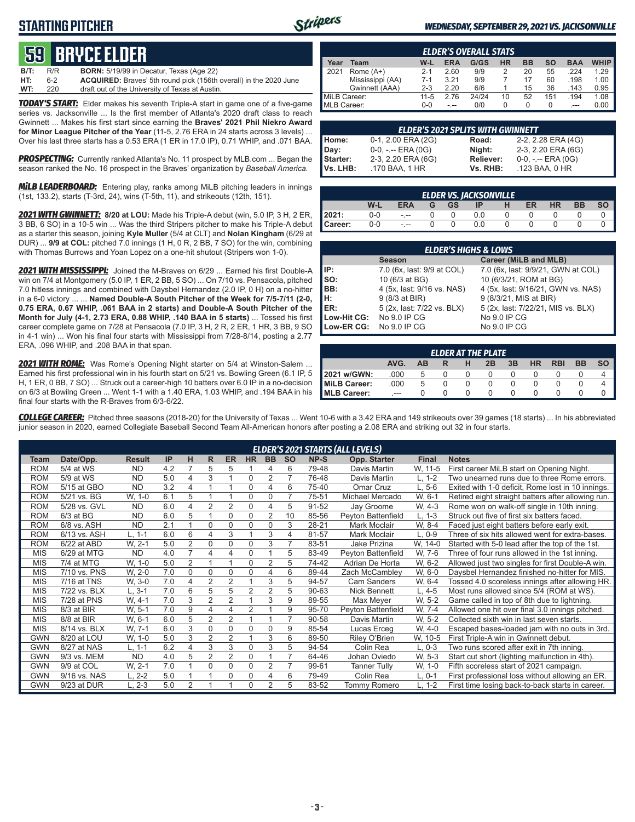## **STARTING PITCHER**



#### *WEDNESDAY, SEPTEMBER 29, 2021 VS. JACKSONVILLE*

# **59****bryce elder**

| <b>B/T:</b> | R/R | <b>BORN:</b> 5/19/99 in Decatur, Texas (Age 22)                          |
|-------------|-----|--------------------------------------------------------------------------|
| HT:         | հ-2 | <b>ACQUIRED:</b> Braves' 5th round pick (156th overall) in the 2020 June |
| WT:         | 220 | draft out of the University of Texas at Austin.                          |

*TODAY'S START:* Elder makes his seventh Triple-A start in game one of a five-game series vs. Jacksonville ... Is the first member of Atlanta's 2020 draft class to reach Gwinnett ... Makes his first start since earning the **Braves' 2021 Phil Niekro Award for Minor League Pitcher of the Year** (11-5, 2.76 ERA in 24 starts across 3 levels) ... Over his last three starts has a 0.53 ERA (1 ER in 17.0 IP), 0.71 WHIP, and .071 BAA.

**PROSPECTING:** Currently ranked Atlanta's No. 11 prospect by MLB.com ... Began the season ranked the No. 16 prospect in the Braves' organization by *Baseball America.*

*MiLB LEADERBOARD:* Entering play, ranks among MiLB pitching leaders in innings (1st, 133.2), starts (T-3rd, 24), wins (T-5th, 11), and strikeouts (12th, 151).

*2021 WITH GWINNETT:* **8/20 at LOU:** Made his Triple-A debut (win, 5.0 IP, 3 H, 2 ER, 3 BB, 6 SO) in a 10-5 win ... Was the third Stripers pitcher to make his Triple-A debut as a starter this season, joining **Kyle Muller** (5/4 at CLT) and **Nolan Kingham** (6/29 at DUR) ... **9/9 at COL:** pitched 7.0 innings (1 H, 0 R, 2 BB, 7 SO) for the win, combining with Thomas Burrows and Yoan Lopez on a one-hit shutout (Stripers won 1-0).

*2021 WITH MISSISSIPPI:* Joined the M-Braves on 6/29 ... Earned his first Double-A win on 7/4 at Montgomery (5.0 IP, 1 ER, 2 BB, 5 SO) ... On 7/10 vs. Pensacola, pitched 7.0 hitless innings and combined with Daysbel Hernandez (2.0 IP, 0 H) on a no-hitter in a 6-0 victory ... ... **Named Double-A South Pitcher of the Week for 7/5-7/11 (2-0, 0.75 ERA, 0.67 WHIP, .061 BAA in 2 starts) and Double-A South Pitcher of the Month for July (4-1, 2.73 ERA, 0.88 WHIP, .140 BAA in 5 starts)** ... Tossed his first career complete game on 7/28 at Pensacola (7.0 IP, 3 H, 2 R, 2 ER, 1 HR, 3 BB, 9 SO in 4-1 win) ... Won his final four starts with Mississippi from 7/28-8/14, posting a 2.77 ERA, .096 WHIP, and .208 BAA in that span.

*2021 WITH ROME:* Was Rome's Opening Night starter on 5/4 at Winston-Salem ... Earned his first professional win in his fourth start on 5/21 vs. Bowling Green (6.1 IP, 5 H, 1 ER, 0 BB, 7 SO) ... Struck out a career-high 10 batters over 6.0 IP in a no-decision on 6/3 at Bowilng Green ... Went 1-1 with a 1.40 ERA, 1.03 WHIP, and .194 BAA in his final four starts with the R-Braves from 6/3-6/22.

|                  | <b>ELDER'S OVERALL STATS</b> |         |            |       |           |           |     |            |             |  |  |  |  |  |  |
|------------------|------------------------------|---------|------------|-------|-----------|-----------|-----|------------|-------------|--|--|--|--|--|--|
| Year             | Team                         | W-L     | <b>ERA</b> | G/GS  | <b>HR</b> | <b>BB</b> | so  | <b>BAA</b> | <b>WHIP</b> |  |  |  |  |  |  |
| 12021            | Rome $(A+)$                  | $2 - 1$ | 2.60       | 9/9   |           | 20        | 55  | 224        | 1.29        |  |  |  |  |  |  |
| Mississippi (AA) |                              | $7-1$   | 3.21       | 9/9   |           | 17        | 60  | .198       | 1.00        |  |  |  |  |  |  |
|                  | Gwinnett (AAA)               | $2 - 3$ | 2.20       | 6/6   |           | 15        | 36  | .143       | 0.95        |  |  |  |  |  |  |
| MiLB Career:     |                              | 11-5    | 2.76       | 24/24 | 10        | 52        | 151 | .194       | 1.08        |  |  |  |  |  |  |
| MLB Career:      |                              | ი-ი     |            | 0/0   |           | O         | 0   | $---$      | 0.00        |  |  |  |  |  |  |

| <b>ELDER'S 2021 SPLITS WITH GWINNETT</b> |                       |                  |                       |  |  |  |  |  |  |  |  |  |
|------------------------------------------|-----------------------|------------------|-----------------------|--|--|--|--|--|--|--|--|--|
| Home:                                    | 0-1, 2.00 ERA (2G)    | Road:            | 2-2, 2.28 ERA (4G)    |  |  |  |  |  |  |  |  |  |
| Day:                                     | $0-0, - -$ ERA $(0G)$ | Night:           | 2-3, 2.20 ERA (6G)    |  |  |  |  |  |  |  |  |  |
| Starter:                                 | 2-3, 2.20 ERA (6G)    | <b>Reliever:</b> | $0-0, - -$ ERA $(0G)$ |  |  |  |  |  |  |  |  |  |
| Vs. LHB:                                 | .170 BAA, 1 HR        | Vs. RHB:         | .123 BAA, 0 HR        |  |  |  |  |  |  |  |  |  |

| <b>ELDER VS. JACKSONVILLE</b> |     |            |  |           |     |  |    |    |    |  |  |  |  |  |
|-------------------------------|-----|------------|--|-----------|-----|--|----|----|----|--|--|--|--|--|
|                               | W-L | <b>ERA</b> |  | <b>GS</b> |     |  | ER | HR | ВB |  |  |  |  |  |
| 2021:                         | 0-0 | - --       |  |           | 0.0 |  |    |    |    |  |  |  |  |  |
| Career:                       | 0-0 | - --       |  |           | 0.0 |  |    |    |    |  |  |  |  |  |

|                         | <b>ELDER'S HIGHS &amp; LOWS</b> |                                    |  |  |  |  |  |  |  |  |  |  |  |
|-------------------------|---------------------------------|------------------------------------|--|--|--|--|--|--|--|--|--|--|--|
|                         | <b>Season</b>                   | Career (MiLB and MLB)              |  |  |  |  |  |  |  |  |  |  |  |
| IP:                     | 7.0 (6x, last: 9/9 at COL)      | 7.0 (6x, last: 9/9/21, GWN at COL) |  |  |  |  |  |  |  |  |  |  |  |
| lso:                    | 10 (6/3 at BG)                  | 10 (6/3/21, ROM at BG)             |  |  |  |  |  |  |  |  |  |  |  |
| BB:                     | 4 (5x, last: 9/16 vs. NAS)      | 4 (5x, last: 9/16/21, GWN vs. NAS) |  |  |  |  |  |  |  |  |  |  |  |
| Iн:                     | 9 (8/3 at BIR)                  | 9 (8/3/21, MIS at BIR)             |  |  |  |  |  |  |  |  |  |  |  |
| ER:                     | 5 (2x, last: 7/22 vs. BLX)      | 5 (2x, last: 7/22/21, MIS vs. BLX) |  |  |  |  |  |  |  |  |  |  |  |
| Low-Hit CG:             | No 9.0 IP CG                    | No 9.0 IP CG                       |  |  |  |  |  |  |  |  |  |  |  |
| Low-ER CG: No 9.0 IP CG |                                 | No 9.0 IP CG                       |  |  |  |  |  |  |  |  |  |  |  |

|                       | <b>ELDER AT THE PLATE</b> |    |  |   |    |    |           |            |           |  |  |  |  |  |  |
|-----------------------|---------------------------|----|--|---|----|----|-----------|------------|-----------|--|--|--|--|--|--|
|                       | AVG.                      | AВ |  | н | 2B | 3B | <b>HR</b> | <b>RBI</b> | <b>BB</b> |  |  |  |  |  |  |
| 2021 w/GWN:           | .000                      |    |  |   |    |    |           |            |           |  |  |  |  |  |  |
| <b>I</b> MiLB Career: | .000                      | b  |  |   |    |    |           |            |           |  |  |  |  |  |  |
| <b>MLB Career:</b>    | ---                       |    |  |   |    |    |           |            |           |  |  |  |  |  |  |

*COLLEGE CAREER:* Pitched three seasons (2018-20) for the University of Texas ... Went 10-6 with a 3.42 ERA and 149 strikeouts over 39 games (18 starts) ... In his abbreviated junior season in 2020, earned Collegiate Baseball Second Team All-American honors after posting a 2.08 ERA and striking out 32 in four starts.

|            |              |               |     |                |                |                |                |                |                |       | <b>ELDER'S 2021 STARTS (ALL LEVELS)</b> |              |                                                    |
|------------|--------------|---------------|-----|----------------|----------------|----------------|----------------|----------------|----------------|-------|-----------------------------------------|--------------|----------------------------------------------------|
| Team       | Date/Opp.    | <b>Result</b> | IP  | н              | R.             | <b>ER</b>      | <b>HR</b>      | <b>BB</b>      | <b>SO</b>      | NP-S  | Opp. Starter                            | <b>Final</b> | <b>Notes</b>                                       |
| <b>ROM</b> | 5/4 at WS    | <b>ND</b>     | 4.2 |                | 5              | 5              |                | 4              | 6              | 79-48 | Davis Martin                            | W. 11-5      | First career MiLB start on Opening Night.          |
| <b>ROM</b> | 5/9 at WS    | <b>ND</b>     | 5.0 | 4              | 3              |                | $\Omega$       | $\overline{2}$ | $\overline{7}$ | 76-48 | Davis Martin                            | L. 1-2       | Two unearned runs due to three Rome errors.        |
| <b>ROM</b> | 5/15 at GBO  | <b>ND</b>     | 3.2 | 4              |                |                | $\mathbf 0$    | 4              | 6              | 75-40 | Omar Cruz                               | $L, 5-6$     | Exited with 1-0 deficit, Rome lost in 10 innings.  |
| <b>ROM</b> | 5/21 vs. BG  | W, 1-0        | 6.1 | 5              |                |                | $\Omega$       | $\Omega$       | 7              | 75-51 | Michael Mercado                         | W. 6-1       | Retired eight straight batters after allowing run. |
| <b>ROM</b> | 5/28 vs. GVL | <b>ND</b>     | 6.0 | 4              | 2              | 2              | $\mathbf 0$    | 4              | 5              | 91-52 | Jay Groome                              | W. 4-3       | Rome won on walk-off single in 10th inning.        |
| <b>ROM</b> | $6/3$ at BG  | <b>ND</b>     | 6.0 | 5              |                | $\Omega$       | $\mathbf 0$    | 2              | 10             | 85-56 | Peyton Battenfield                      | $L, 1-3$     | Struck out five of first six batters faced.        |
| <b>ROM</b> | 6/8 vs. ASH  | <b>ND</b>     | 2.1 |                | $\Omega$       | $\Omega$       | $\mathbf 0$    | $\mathbf 0$    | 3              | 28-21 | Mark Moclair                            | W. 8-4       | Faced just eight batters before early exit.        |
| <b>ROM</b> | 6/13 vs. ASH | $L. 1-1$      | 6.0 | 6              | 4              | 3              |                | 3              | 4              | 81-57 | Mark Moclair                            | $L. 0-9$     | Three of six hits allowed went for extra-bases.    |
| <b>ROM</b> | 6/22 at ABD  | W. 2-1        | 5.0 | $\overline{2}$ | 0              | $\Omega$       | $\mathbf 0$    | 3              | 7              | 83-51 | Jake Prizina                            | W, 14-0      | Started with 5-0 lead after the top of the 1st.    |
| <b>MIS</b> | 6/29 at MTG  | <b>ND</b>     | 4.0 | $\overline{7}$ | 4              | 4              | $\mathbf 0$    |                | 5              | 83-49 | Peyton Battenfield                      | W, 7-6       | Three of four runs allowed in the 1st inning.      |
| <b>MIS</b> | 7/4 at MTG   | W, 1-0        | 5.0 | $\overline{2}$ | 1              |                | $\Omega$       | $\overline{2}$ | 5              | 74-42 | Adrian De Horta                         | W. 6-2       | Allowed just two singles for first Double-A win.   |
| <b>MIS</b> | 7/10 vs. PNS | W, 2-0        | 7.0 | $\Omega$       | $\Omega$       | $\Omega$       | $\Omega$       | 4              | 6              | 89-44 | Zach McCambley                          | W, 6-0       | Daysbel Hernandez finished no-hitter for MIS.      |
| <b>MIS</b> | 7/16 at TNS  | W. 3-0        | 7.0 | 4              | 2              | $\overline{2}$ |                | 3              | 5              | 94-57 | <b>Cam Sanders</b>                      | W. 6-4       | Tossed 4.0 scoreless innings after allowing HR.    |
| <b>MIS</b> | 7/22 vs. BLX | $L, 3-1$      | 7.0 | 6              | 5              | 5              | $\overline{2}$ | $\overline{2}$ | 5              | 90-63 | <b>Nick Bennett</b>                     | L, 4-5       | Most runs allowed since 5/4 (ROM at WS).           |
| <b>MIS</b> | 7/28 at PNS  | W. 4-1        | 7.0 | 3              | 2              | $\overline{2}$ |                | 3              | 9              | 89-55 | Max Meyer                               | W. 5-2       | Game called in top of 8th due to lightning.        |
| <b>MIS</b> | 8/3 at BIR   | W. 5-1        | 7.0 | 9              | 4              | 4              | $\overline{2}$ |                | 9              | 95-70 | Peyton Battenfield                      | W. 7-4       | Allowed one hit over final 3.0 innings pitched.    |
| <b>MIS</b> | 8/8 at BIR   | W, 6-1        | 6.0 | 5              | $\overline{2}$ | $\overline{2}$ | $\overline{1}$ | 1              | 7              | 90-58 | Davis Martin                            | W. 5-2       | Collected sixth win in last seven starts.          |
| <b>MIS</b> | 8/14 vs. BLX | W. 7-1        | 6.0 | 3              | $\Omega$       | 0              | $\Omega$       | $\Omega$       | 9              | 85-54 | Lucas Erceg                             | W, 4-0       | Escaped bases-loaded jam with no outs in 3rd.      |
| <b>GWN</b> | 8/20 at LOU  | W, 1-0        | 5.0 | 3              | 2              | 2              |                | 3              | 6              | 89-50 | Riley O'Brien                           | W, 10-5      | First Triple-A win in Gwinnett debut.              |
| <b>GWN</b> | 8/27 at NAS  | L. 1-1        | 6.2 | $\overline{4}$ | 3              | 3              | $\mathbf 0$    | 3              | 5              | 94-54 | Colin Rea                               | L, 0-3       | Two runs scored after exit in 7th inning.          |
| <b>GWN</b> | 9/3 vs. MEM  | <b>ND</b>     | 4.0 | 5              | $\overline{2}$ | $\overline{2}$ | $\mathbf 0$    |                | $\overline{7}$ | 64-46 | Johan Oviedo                            | W. 5-3       | Start cut short (lighting malfunction in 4th).     |
| <b>GWN</b> | 9/9 at COL   | W. 2-1        | 7.0 |                | $\Omega$       | $\Omega$       | $\Omega$       | 2              | 7              | 99-61 | <b>Tanner Tully</b>                     | W, 1-0       | Fifth scoreless start of 2021 campaign.            |
| <b>GWN</b> | 9/16 vs. NAS | $L, 2-2$      | 5.0 |                |                | 0              | $\Omega$       | 4              | 6              | 79-49 | Colin Rea                               | $L, 0-1$     | First professional loss without allowing an ER.    |
| <b>GWN</b> | 9/23 at DUR  | $L, 2-3$      | 5.0 | $\overline{2}$ |                |                | $\Omega$       | $\overline{2}$ | 5              | 83-52 | <b>Tommy Romero</b>                     | L. 1-2       | First time losing back-to-back starts in career.   |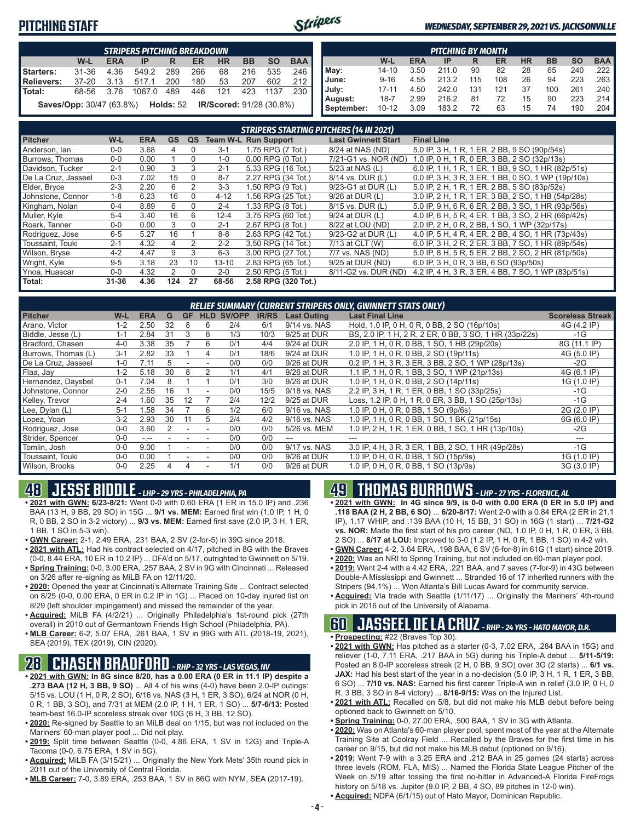## **PITCHING STAFF**



#### *WEDNESDAY, SEPTEMBER 29, 2021 VS. JACKSONVILLE*

|            | <b>STRIPERS PITCHING BREAKDOWN</b>                                                     |            |        |     |     |           |           |           |            |            |           |            | <b>PITCHING BY MONTH</b> |     |     |           |           |           |            |
|------------|----------------------------------------------------------------------------------------|------------|--------|-----|-----|-----------|-----------|-----------|------------|------------|-----------|------------|--------------------------|-----|-----|-----------|-----------|-----------|------------|
|            | W-L                                                                                    | <b>ERA</b> | IP     | R   | ER  | <b>HR</b> | <b>BB</b> | <b>SO</b> | <b>BAA</b> |            | W-L       | <b>ERA</b> | <b>IP</b>                | R   | ER  | <b>HR</b> | <b>BB</b> | <b>SO</b> | <b>BAA</b> |
| Starters:  | 31-36                                                                                  | 4.36       | 549.2  | 289 | 266 | 68        | 216       | 535       | 246        | May:       | $14 - 10$ | 3.50       | 211 በ                    | 90  | 82  | 28        | 65        | 240       | 222        |
| Relievers: | 37-20                                                                                  |            |        | 200 | 180 | 53        | 207       | 602       |            | June:      | $9 - 16$  | 4.55       | 213.2                    |     | 108 | 26        | 94        | 223       | .263       |
| Total:     | 68-56                                                                                  | 376        | 1067.0 | 489 | 446 | 121       | 423       | 1137      | 230        | , July:    | 17-11     | 4.50       | 242.0                    | 131 | 121 | 37        | 100       | 261       | .240       |
|            | <b>Holds: 52</b><br><b>Saves/Opp: 30/47 (63.8%)</b><br><b>IR/Scored: 91/28 (30.8%)</b> |            |        |     |     |           | August:   | $18 - 7$  | 2.99       | 216.2      |           | 72         | 15                       | 90  | 223 | 214       |           |           |            |
|            |                                                                                        |            |        |     |     |           |           |           |            | September: | $10 - 12$ | 3.09       | 183.2                    | 72  | 63  | 15        | 74        | 190       | .204       |

|                     | <b>STRIPERS STARTING PITCHERS (14 IN 2021)</b> |            |               |                |           |                             |                            |                                                    |  |  |  |  |  |  |
|---------------------|------------------------------------------------|------------|---------------|----------------|-----------|-----------------------------|----------------------------|----------------------------------------------------|--|--|--|--|--|--|
| <b>Pitcher</b>      | $W-L$                                          | <b>ERA</b> | <b>GS</b>     | QS             |           | <b>Team W-L Run Support</b> | <b>Last Gwinnett Start</b> | <b>Final Line</b>                                  |  |  |  |  |  |  |
| Anderson, Ian       | $0-0$                                          | 3.68       | 4             | 0              | $3 - 1$   | 1.75 RPG (7 Tot.)           | 8/24 at NAS (ND)           | 5.0 IP, 3 H, 1 R, 1 ER, 2 BB, 9 SO (90p/54s)       |  |  |  |  |  |  |
| Burrows. Thomas     | $0 - 0$                                        | 0.00       |               | $\Omega$       | $1 - 0$   | $0.00$ RPG $(0$ Tot.)       | 7/21-G1 vs. NOR (ND)       | 1.0 IP, 0 H, 1 R, 0 ER, 3 BB, 2 SO (32p/13s)       |  |  |  |  |  |  |
| Davidson, Tucker    | $2 - 1$                                        | 0.90       | 3             | 3              | $2 - 1$   | 5.33 RPG (16 Tot.)          | 5/23 at NAS (L)            | 6.0 IP, 1 H, 1 R, 1 ER, 1 BB, 9 SO, 1 HR (82p/51s) |  |  |  |  |  |  |
| De La Cruz, Jasseel | $0 - 3$                                        | 7.02       | 15            | $\Omega$       | $8 - 7$   | 2.27 RPG (34 Tot.)          | 8/14 vs. DUR (L)           | 0.0 IP, 3 H, 3 R, 3 ER, 1 BB, 0 SO, 1 WP (19p/10s) |  |  |  |  |  |  |
| Elder, Bryce        | $2 - 3$                                        | 2.20       | 6             | $\overline{2}$ | $3-3$     | 1.50 RPG (9 Tot.)           | 9/23-G1 at DUR (L)         | 5.0 IP, 2 H, 1 R, 1 ER, 2 BB, 5 SO (83p/52s)       |  |  |  |  |  |  |
| Johnstone, Connor   | $1 - 8$                                        | 6.23       | 16            | 0              | $4 - 12$  | 1.56 RPG (25 Tot.)          | 9/26 at DUR (L)            | 3.0 IP, 2 H, 1 R, 1 ER, 3 BB, 2 SO, 1 HB (54p/28s) |  |  |  |  |  |  |
| Kingham, Nolan      | $0 - 4$                                        | 8.89       | 6             | $\Omega$       | $2 - 4$   | 1.33 RPG (8 Tot.)           | 8/15 vs. DUR (L)           | 5.0 IP, 9 H, 6 R, 6 ER, 2 BB, 3 SO, 1 HR (93p/56s) |  |  |  |  |  |  |
| Muller, Kyle        | $5 - 4$                                        | 3.40       | 16            | 6              | $12 - 4$  | 3.75 RPG (60 Tot.)          | 9/24 at DUR (L)            | 4.0 IP, 6 H, 5 R, 4 ER, 1 BB, 3 SO, 2 HR (66p/42s) |  |  |  |  |  |  |
| Roark, Tanner       | $0 - 0$                                        | 0.00       | 3             | $\Omega$       | $2 - 1$   | 2.67 RPG (8 Tot.)           | 8/22 at LOU (ND)           | 2.0 IP, 2 H, 0 R, 2 BB, 1 SO, 1 WP (32p/17s)       |  |  |  |  |  |  |
| Rodriguez, Jose     | $6-5$                                          | 5.27       | 16            |                | $8 - 8$   | 2.63 RPG (42 Tot.)          | 9/23-G2 at DUR (L)         | 4.0 IP, 5 H, 4 R, 4 ER, 2 BB, 4 SO, 1 HR (73p/43s) |  |  |  |  |  |  |
| Toussaint. Touki    | $2 - 1$                                        | 4.32       | 4             | 2              | $2 - 2$   | 3.50 RPG (14 Tot.)          | 7/13 at CLT (W)            | 6.0 IP, 3 H, 2 R, 2 ER, 3 BB, 7 SO, 1 HR (89p/54s) |  |  |  |  |  |  |
| Wilson, Bryse       | $4 - 2$                                        | 4.47       | 9             | 3              | $6 - 3$   | 3.00 RPG (27 Tot.)          | 7/7 vs. NAS (ND)           | 5.0 IP, 8 H, 5 R, 5 ER, 2 BB, 2 SO, 2 HR (81p/50s) |  |  |  |  |  |  |
| Wright, Kyle        | $9 - 5$                                        | 3.18       | 23            | 10             | $13 - 10$ | 2.83 RPG (65 Tot.)          | 9/25 at DUR (ND)           | 6.0 IP, 3 H, 0 R, 3 BB, 6 SO (93p/50s)             |  |  |  |  |  |  |
| Ynoa, Huascar       | $0-0$                                          | 4.32       | $\mathcal{P}$ | $\Omega$       | $2 - 0$   | 2.50 RPG (5 Tot.)           | 8/11-G2 vs. DUR (ND)       | 4.2 IP, 4 H, 3 R, 3 ER, 4 BB, 7 SO, 1 WP (83p/51s) |  |  |  |  |  |  |
| Total:              | $31 - 36$                                      | 4.36       | 124           | 27             | 68-56     | 2.58 RPG (320 Tot.)         |                            |                                                    |  |  |  |  |  |  |

|                     | RELIEF SUMMARY (CURRENT STRIPERS ONLY, GWINNETT STATS ONLY) |            |    |    |            |        |              |                    |                                                        |                         |  |  |  |  |
|---------------------|-------------------------------------------------------------|------------|----|----|------------|--------|--------------|--------------------|--------------------------------------------------------|-------------------------|--|--|--|--|
| <b>Pitcher</b>      | W-L                                                         | <b>ERA</b> | G  | GF | <b>HLD</b> | SV/OPP | <b>IR/RS</b> | <b>Last Outing</b> | <b>Last Final Line</b>                                 | <b>Scoreless Streak</b> |  |  |  |  |
| Arano, Victor       | $1 - 2$                                                     | 2.50       | 32 |    | 6          | 2/4    | 6/1          | 9/14 vs. NAS       | Hold, 1.0 IP, 0 H, 0 R, 0 BB, 2 SO (16p/10s)           | 4G (4.2 IP)             |  |  |  |  |
| Biddle, Jesse (L)   | $1 - 1$                                                     | 2.84       | 31 | 3  | 8          | 1/3    | 10/3         | 9/25 at DUR        | BS, 2.0 IP, 1 H, 2 R, 2 ER, 0 BB, 3 SO, 1 HR (33p/22s) | $-1G$                   |  |  |  |  |
| Bradford, Chasen    | $4 - 0$                                                     | 3.38       | 35 |    | 6          | 0/1    | 4/4          | 9/24 at DUR        | 2.0 IP, 1 H, 0 R, 0 BB, 1 SO, 1 HB (29p/20s)           | 8G (11.1 IP)            |  |  |  |  |
| Burrows, Thomas (L) | $3 - 1$                                                     | 2.82       | 33 |    |            | 0/1    | 18/6         | 9/24 at DUR        | 1.0 IP, 1 H, 0 R, 0 BB, 2 SO (19p/11s)                 | 4G (5.0 IP)             |  |  |  |  |
| De La Cruz, Jasseel | $1 - 0$                                                     | 7.11       |    |    |            | 0/0    | 0/0          | 9/26 at DUR        | 0.2 IP, 1 H, 3 R, 3 ER, 3 BB, 2 SO, 1 WP (28p/13s)     | -2G                     |  |  |  |  |
| Flaa, Jav           | $1 - 2$                                                     | 5.18       | 30 | 8  |            | 1/1    | 4/1          | 9/26 at DUR        | 1.1 IP. 1 H. 0 R. 1 BB. 3 SO. 1 WP (21p/13s)           | 4G (6.1 IP)             |  |  |  |  |
| Hernandez, Daysbel  | $0 - 1$                                                     | 7.04       |    |    |            | 0/1    | 3/0          | 9/26 at DUR        | 1.0 IP, 1 H, 0 R, 0 BB, 2 SO (14p/11s)                 | 1G (1.0 IP)             |  |  |  |  |
| Johnstone, Connor   | $2 - 0$                                                     | 2.55       | 16 |    |            | 0/0    | 15/5         | 9/18 vs. NAS       | 2.2 IP, 3 H, 1 R, 1 ER, 0 BB, 1 SO (33p/25s)           | -1G                     |  |  |  |  |
| Kelley, Trevor      | $2 - 4$                                                     | .60        | 35 | 12 |            | 2/4    | 12/2         | 9/25 at DUR        | Loss, 1.2 IP, 0 H, 1 R, 0 ER, 3 BB, 1 SO (25p/13s)     | -1G                     |  |  |  |  |
| Lee, Dylan (L)      | $5 - 1$                                                     | .58        | 34 |    | 6          | 1/2    | 6/0          | 9/16 vs. NAS       | 1.0 IP, 0 H, 0 R, 0 BB, 1 SO (9p/6s)                   | 2G (2.0 IP)             |  |  |  |  |
| Lopez, Yoan         | $3-2$                                                       | 2.93       | 30 |    | 5          | 2/4    | 4/2          | 9/16 vs. NAS       | 1.0 IP, 1 H, 0 R, 0 BB, 1 SO, 1 BK (21p/15s)           | 6G (6.0 IP)             |  |  |  |  |
| Rodriguez, Jose     | $0 - 0$                                                     | 3.60       |    |    |            | 0/0    | 0/0          | 5/26 vs. MEM       | 1.0 IP, 2 H, 1 R, 1 ER, 0 BB, 1 SO, 1 HR (13p/10s)     | -2G                     |  |  |  |  |
| Strider, Spencer    | $0 - 0$                                                     | $-1 - 1$   |    |    |            | 0/0    | 0/0          |                    |                                                        |                         |  |  |  |  |
| Tomlin, Josh        | $0 - 0$                                                     | 9.00       |    |    |            | 0/0    | 0/0          | 9/17 vs. NAS       | 3.0 IP, 4 H, 3 R, 3 ER, 1 BB, 2 SO, 1 HR (49p/28s)     | -1G                     |  |  |  |  |
| Toussaint, Touki    | $0 - 0$                                                     | 0.00       |    |    |            | 0/0    | 0/0          | 9/26 at DUR        | 1.0 IP, 0 H, 0 R, 0 BB, 1 SO (15p/9s)                  | 1G (1.0 IP)             |  |  |  |  |
| Wilson, Brooks      | $0 - 0$                                                     | 2.25       |    |    |            | 1/1    | 0/0          | 9/26 at DUR        | 1.0 IP, 0 H, 0 R, 0 BB, 1 SO (13p/9s)                  | 3G (3.0 IP)             |  |  |  |  |

## **48 JESSE BIDDLE** *- LHP - 29 YRS - PHILADELPHIA, PA*

- **• 2021 with GWN: 6/23-8/21:** Went 0-0 with 0.60 ERA (1 ER in 15.0 IP) and .236 BAA (13 H, 9 BB, 29 SO) in 15G ... **9/1 vs. MEM:** Earned first win (1.0 IP, 1 H, 0 R, 0 BB, 2 SO in 3-2 victory) ... **9/3 vs. MEM:** Earned first save (2.0 IP, 3 H, 1 ER, 1 BB, 1 SO in 5-3 win).
- **• GWN Career:** 2-1, 2.49 ERA, .231 BAA, 2 SV (2-for-5) in 39G since 2018.
- **• 2021 with ATL:** Had his contract selected on 4/17, pitched in 8G with the Braves (0-0, 8.44 ERA, 10 ER in 10.2 IP) ... DFA'd on 5/17, outrighted to Gwinnett on 5/19.
- **• Spring Training:** 0-0, 3.00 ERA, .257 BAA, 2 SV in 9G with Cincinnati ... Released on 3/26 after re-signing as MiLB FA on 12/11/20.
- **• 2020:** Opened the year at Cincinnati's Alternate Training Site ... Contract selected on 8/25 (0-0, 0.00 ERA, 0 ER in 0.2 IP in 1G) ... Placed on 10-day injured list on 8/29 (left shoulder impingement) and missed the remainder of the year.
- **• Acquired:** MiLB FA (4/2/21) ... Originally Philadelphia's 1st-round pick (27th overall) in 2010 out of Germantown Friends High School (Philadelphia, PA).
- **• MLB Career:** 6-2, 5.07 ERA, .261 BAA, 1 SV in 99G with ATL (2018-19, 2021), SEA (2019), TEX (2019), CIN (2020).

## **28 CHASEN BRADFORD** *- RHP - 32 YRS - LAS VEGAS, NV*

- **• 2021 with GWN: In 8G since 8/20, has a 0.00 ERA (0 ER in 11.1 IP) despite a .273 BAA (12 H, 3 BB, 9 SO)** ... All 4 of his wins (4-0) have been 2.0-IP outings: 5/15 vs. LOU (1 H, 0 R, 2 SO), 6/16 vs. NAS (3 H, 1 ER, 3 SO), 6/24 at NOR (0 H, 0 R, 1 BB, 3 SO), and 7/31 at MEM (2.0 IP, 1 H, 1 ER, 1 SO) ... **5/7-6/13:** Posted team-best 16.0-IP scoreless streak over 10G (6 H, 3 BB, 12 SO).
- **• 2020:** Re-signed by Seattle to an MiLB deal on 1/15, but was not included on the Mariners' 60-man player pool ... Did not play.
- **• 2019:** Split time between Seattle (0-0, 4.86 ERA, 1 SV in 12G) and Triple-A Tacoma (0-0, 6.75 ERA, 1 SV in 5G).
- **• Acquired:** MiLB FA (3/15/21) ... Originally the New York Mets' 35th round pick in 2011 out of the University of Central Florida.
- **• MLB Career:** 7-0, 3.89 ERA, .253 BAA, 1 SV in 86G with NYM, SEA (2017-19).

## **49 THOMAS BURROWS** *- LHP - 27 YRS - FLORENCE, AL*

- **• 2021 with GWN: In 4G since 9/9, is 0-0 with 0.00 ERA (0 ER in 5.0 IP) and .118 BAA (2 H, 2 BB, 6 SO)** ... **6/20-8/17:** Went 2-0 with a 0.84 ERA (2 ER in 21.1 IP), 1.17 WHIP, and .139 BAA (10 H, 15 BB, 31 SO) in 16G (1 start) ... **7/21-G2 vs. NOR:** Made the first start of his pro career (ND, 1.0 IP, 0 H, 1 R, 0 ER, 3 BB, 2 SO) ... **8/17 at LOU:** Improved to 3-0 (1.2 IP, 1 H, 0 R, 1 BB, 1 SO) in 4-2 win.
- **• GWN Career:** 4-2, 3.64 ERA, .198 BAA, 6 SV (6-for-8) in 61G (1 start) since 2019.
- **• 2020:** Was an NRI to Spring Training, but not included on 60-man player pool. **• 2019:** Went 2-4 with a 4.42 ERA, .221 BAA, and 7 saves (7-for-9) in 43G between Double-A Mississippi and Gwinnett ... Stranded 16 of 17 inherited runners with the
- Stripers (94.1%) ... Won Atlanta's Bill Lucas Award for community service. **• Acquired:** Via trade with Seattle (1/11/17) ... Originally the Mariners' 4th-round pick in 2016 out of the University of Alabama.

## **60 JASSEEL DE LA CRUZ** *- RHP - 24 YRS - HATO MAYOR, D.R.*

- **• Prospecting:** #22 (Braves Top 30).
- **• 2021 with GWN:** Has pitched as a starter (0-3, 7.02 ERA, .284 BAA in 15G) and reliever (1-0, 7.11 ERA, .217 BAA in 5G) during his Triple-A debut ... **5/11-5/19:** Posted an 8.0-IP scoreless streak (2 H, 0 BB, 9 SO) over 3G (2 starts) ... **6/1 vs. JAX:** Had his best start of the year in a no-decision (5.0 IP, 3 H, 1 R, 1 ER, 3 BB, 6 SO) ... **7/10 vs. NAS:** Earned his first career Triple-A win in relief (3.0 IP, 0 H, 0 R, 3 BB, 3 SO in 8-4 victory) ... **8/16-9/15:** Was on the Injured List.
- **• 2021 with ATL:** Recalled on 5/8, but did not make his MLB debut before being optioned back to Gwinnett on 5/10.
- **• Spring Training:** 0-0, 27.00 ERA, .500 BAA, 1 SV in 3G with Atlanta.
- **• 2020:** Was on Atlanta's 60-man player pool, spent most of the year at the Alternate Training Site at Coolray Field ... Recalled by the Braves for the first time in his career on 9/15, but did not make his MLB debut (optioned on 9/16).
- **• 2019:** Went 7-9 with a 3.25 ERA and .212 BAA in 25 games (24 starts) across three levels (ROM, FLA, MIS) ... Named the Florida State League Pitcher of the Week on 5/19 after tossing the first no-hitter in Advanced-A Florida FireFrogs history on 5/18 vs. Jupiter (9.0 IP, 2 BB, 4 SO, 89 pitches in 12-0 win).
- **• Acquired:** NDFA (6/1/15) out of Hato Mayor, Dominican Republic.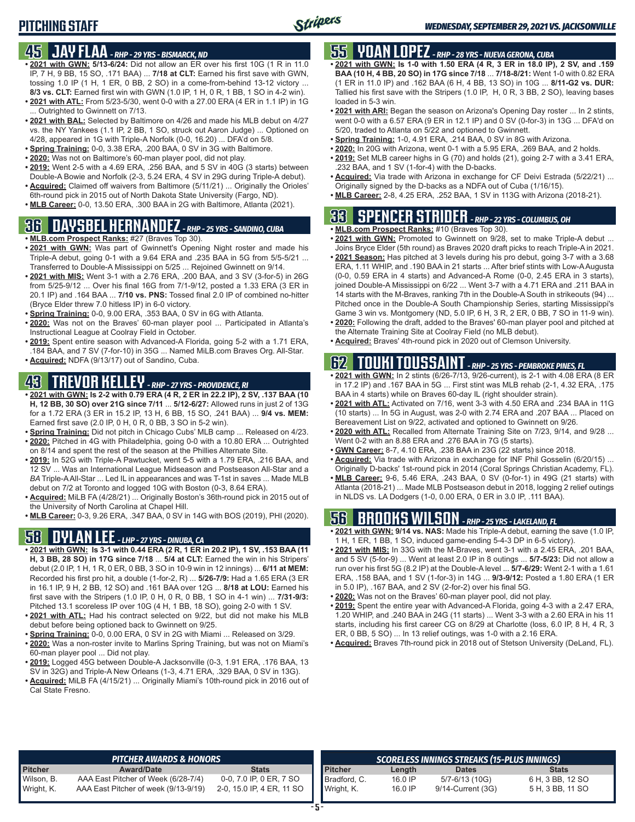# **PITCHING STAFF**

## **45 JAY FLAA** *- RHP - 29 YRS - BISMARCK, ND*

- **• 2021 with GWN: 5/13-6/24:** Did not allow an ER over his first 10G (1 R in 11.0 IP, 7 H, 9 BB, 15 SO, .171 BAA) ... **7/18 at CLT:** Earned his first save with GWN, tossing 1.0 IP (1 H, 1 ER, 0 BB, 2 SO) in a come-from-behind 13-12 victory ... **8/3 vs. CLT:** Earned first win with GWN (1.0 IP, 1 H, 0 R, 1 BB, 1 SO in 4-2 win).
- **• 2021 with ATL:** From 5/23-5/30, went 0-0 with a 27.00 ERA (4 ER in 1.1 IP) in 1G ... Outrighted to Gwinnett on 7/13.
- **• 2021 with BAL:** Selected by Baltimore on 4/26 and made his MLB debut on 4/27 vs. the NY Yankees (1.1 IP, 2 BB, 1 SO, struck out Aaron Judge) ... Optioned on 4/28, appeared in 1G with Triple-A Norfolk (0-0, 16.20) ... DFA'd on 5/8.
- **• Spring Training:** 0-0, 3.38 ERA, .200 BAA, 0 SV in 3G with Baltimore.
- **• 2020:** Was not on Baltimore's 60-man player pool, did not play.
- **• 2019:** Went 2-5 with a 4.69 ERA, .256 BAA, and 5 SV in 40G (3 starts) between Double-A Bowie and Norfolk (2-3, 5.24 ERA, 4 SV in 29G during Triple-A debut).
- **• Acquired:** Claimed off waivers from Baltimore (5/11/21) ... Originally the Orioles' 6th-round pick in 2015 out of North Dakota State University (Fargo, ND).
- **• MLB Career:** 0-0, 13.50 ERA, .300 BAA in 2G with Baltimore, Atlanta (2021).

## **36 DAYSBEL HERNANDEZ** *- RHP - 25 YRS - SANDINO, CUBA*

- **• MLB.com Prospect Ranks:** #27 (Braves Top 30).
- **• 2021 with GWN:** Was part of Gwinnett's Opening Night roster and made his Triple-A debut, going 0-1 with a 9.64 ERA and .235 BAA in 5G from 5/5-5/21 ... Transferred to Double-A Mississippi on 5/25 ... Rejoined Gwinnett on 9/14.
- **• 2021 with MIS:** Went 3-1 with a 2.76 ERA, .200 BAA, and 3 SV (3-for-5) in 26G from 5/25-9/12 ... Over his final 16G from 7/1-9/12, posted a 1.33 ERA (3 ER in 20.1 IP) and .164 BAA ... **7/10 vs. PNS:** Tossed final 2.0 IP of combined no-hitter (Bryce Elder threw 7.0 hitless IP) in 6-0 victory.
- **• Spring Training:** 0-0, 9.00 ERA, .353 BAA, 0 SV in 6G with Atlanta.
- **• 2020:** Was not on the Braves' 60-man player pool ... Participated in Atlanta's Instructional League at Coolray Field in October.
- **• 2019:** Spent entire season with Advanced-A Florida, going 5-2 with a 1.71 ERA, .184 BAA, and 7 SV (7-for-10) in 35G ... Named MiLB.com Braves Org. All-Star.
- **• Acquired:** NDFA (9/13/17) out of Sandino, Cuba.

# **43 TREVOR KELLEY** *- RHP - 27 YRS - PROVIDENCE, RI*

- **• 2021 with GWN: Is 2-2 with 0.79 ERA (4 R, 2 ER in 22.2 IP), 2 SV, .137 BAA (10 H, 12 BB, 30 SO) over 21G since 7/11** ... **5/12-6/27:** Allowed runs in just 2 of 13G for a 1.72 ERA (3 ER in 15.2 IP, 13 H, 6 BB, 15 SO, .241 BAA) ... **9/4 vs. MEM:** Earned first save (2.0 IP, 0 H, 0 R, 0 BB, 3 SO in 5-2 win).
- **• Spring Training:** Did not pitch in Chicago Cubs' MLB camp ... Released on 4/23.
- **• 2020:** Pitched in 4G with Philadelphia, going 0-0 with a 10.80 ERA ... Outrighted on 8/14 and spent the rest of the season at the Phillies Alternate Site.
- **• 2019:** In 52G with Triple-A Pawtucket, went 5-5 with a 1.79 ERA, .216 BAA, and 12 SV ... Was an International League Midseason and Postseason All-Star and a *BA* Triple-A All-Star ... Led IL in appearances and was T-1st in saves ... Made MLB debut on 7/2 at Toronto and logged 10G with Boston (0-3, 8.64 ERA).
- **• Acquired:** MiLB FA (4/28/21) ... Originally Boston's 36th-round pick in 2015 out of the University of North Carolina at Chapel Hill.
- 

## **58 DYLAN LEE** *- LHP - 27 YRS - DINUBA, CA*

- **• 2021 with GWN: Is 3-1 with 0.44 ERA (2 R, 1 ER in 20.2 IP), 1 SV, .153 BAA (11 H, 3 BB, 28 SO) in 17G since 7/18** ... **5/4 at CLT:** Earned the win in his Stripers' debut (2.0 IP, 1 H, 1 R, 0 ER, 0 BB, 3 SO in 10-9 win in 12 innings) ... **6/11 at MEM:** Recorded his first pro hit, a double (1-for-2, R) ... **5/26-7/9:** Had a 1.65 ERA (3 ER in 16.1 IP, 9 H, 2 BB, 12 SO) and .161 BAA over 12G ... **8/18 at LOU:** Earned his first save with the Stripers (1.0 IP, 0 H, 0 R, 0 BB, 1 SO in 4-1 win) ... **7/31-9/3:** Pitched 13.1 scoreless IP over 10G (4 H, 1 BB, 18 SO), going 2-0 with 1 SV.
- **• 2021 with ATL:** Had his contract selected on 9/22, but did not make his MLB debut before being optioned back to Gwinnett on 9/25.
- **• Spring Training:** 0-0, 0.00 ERA, 0 SV in 2G with Miami ... Released on 3/29.
- **• 2020:** Was a non-roster invite to Marlins Spring Training, but was not on Miami's 60-man player pool ... Did not play.
- **• 2019:** Logged 45G between Double-A Jacksonville (0-3, 1.91 ERA, .176 BAA, 13 SV in 32G) and Triple-A New Orleans (1-3, 4.71 ERA, .329 BAA, 0 SV in 13G).
- **• Acquired:** MiLB FA (4/15/21) ... Originally Miami's 10th-round pick in 2016 out of Cal State Fresno.

# **55 YOAN LOPEZ** *- RHP - 28 YRS - NUEVA GERONA, CUBA*

- **• 2021 with GWN: Is 1-0 with 1.50 ERA (4 R, 3 ER in 18.0 IP), 2 SV, and .159 BAA (10 H, 4 BB, 20 SO) in 17G since 7/18** ... **7/18-8/21:** Went 1-0 with 0.82 ERA (1 ER in 11.0 IP) and .162 BAA (6 H, 4 BB, 13 SO) in 10G ... **8/11-G2 vs. DUR:** Tallied his first save with the Stripers (1.0 IP, H, 0 R, 3 BB, 2 SO), leaving bases loaded in 5-3 win.
- **• 2021 with ARI:** Began the season on Arizona's Opening Day roster ... In 2 stints, went 0-0 with a 6.57 ERA (9 ER in 12.1 IP) and 0 SV (0-for-3) in 13G ... DFA'd on 5/20, traded to Atlanta on 5/22 and optioned to Gwinnett.
- **• Spring Training:** 1-0, 4.91 ERA, .214 BAA, 0 SV in 8G with Arizona.
- **• 2020:** In 20G with Arizona, went 0-1 with a 5.95 ERA, .269 BAA, and 2 holds.
- **• 2019:** Set MLB career highs in G (70) and holds (21), going 2-7 with a 3.41 ERA, .232 BAA, and 1 SV (1-for-4) with the D-backs.
- **• Acquired:** Via trade with Arizona in exchange for CF Deivi Estrada (5/22/21) ... Originally signed by the D-backs as a NDFA out of Cuba (1/16/15).
- **• MLB Career:** 2-8, 4.25 ERA, .252 BAA, 1 SV in 113G with Arizona (2018-21).

# **33 SPENCER STRIDER** *- RHP - 22 YRS - COLUMBUS, OH*

- **• MLB.com Prospect Ranks:** #10 (Braves Top 30). **• 2021 with GWN:** Promoted to Gwinnett on 9/28, set to make Triple-A debut ...
- Joins Bryce Elder (5th round) as Braves 2020 draft picks to reach Triple-A in 2021. **• 2021 Season:** Has pitched at 3 levels during his pro debut, going 3-7 with a 3.68 ERA, 1.11 WHIP, and .190 BAA in 21 starts ... After brief stints with Low-A Augusta (0-0, 0.59 ERA in 4 starts) and Advanced-A Rome (0-0, 2.45 ERA in 3 starts), joined Double-A Mississippi on 6/22 ... Went 3-7 with a 4.71 ERA and .211 BAA in 14 starts with the M-Braves, ranking 7th in the Double-A South in strikeouts (94) ... Pitched once in the Double-A South Championship Series, starting Mississippi's Game 3 win vs. Montgomery (ND, 5.0 IP, 6 H, 3 R, 2 ER, 0 BB, 7 SO in 11-9 win).
- **• 2020:** Following the draft, added to the Braves' 60-man player pool and pitched at the Alternate Training Site at Coolray Field (no MLB debut).
- **• Acquired:** Braves' 4th-round pick in 2020 out of Clemson University.

# **62 TOUKI TOUSSAINT** *- RHP - 25 YRS - PEMBROKE PINES, FL*

- **• 2021 with GWN:** In 2 stints (6/26-7/13, 9/26-current), is 2-1 with 4.08 ERA (8 ER in 17.2 IP) and .167 BAA in 5G ... First stint was MLB rehab (2-1, 4.32 ERA, .175 BAA in 4 starts) while on Braves 60-day IL (right shoulder strain).
- **• 2021 with ATL:** Activated on 7/16, went 3-3 with 4.50 ERA and .234 BAA in 11G (10 starts) ... In 5G in August, was 2-0 with 2.74 ERA and .207 BAA ... Placed on Bereavement List on 9/22, activated and optioned to Gwinnett on 9/26.
- **• 2020 with ATL:** Recalled from Alternate Training Site on 7/23, 9/14, and 9/28 ... Went 0-2 with an 8.88 ERA and .276 BAA in 7G (5 starts).
- **• GWN Career:** 8-7, 4.10 ERA, .238 BAA in 23G (22 starts) since 2018.
- **• Acquired:** Via trade with Arizona in exchange for INF Phil Gosselin (6/20/15) ... Originally D-backs' 1st-round pick in 2014 (Coral Springs Christian Academy, FL).
- **• MLB Career:** 9-6, 5.46 ERA, .243 BAA, 0 SV (0-for-1) in 49G (21 starts) with Atlanta (2018-21) ... Made MLB Postseason debut in 2018, logging 2 relief outings in NLDS vs. LA Dodgers (1-0, 0.00 ERA, 0 ER in 3.0 IP, .111 BAA).

# **• MLB Career:** 0-3, 9.26 ERA, .347 BAA, 0 SV in 14G with BOS (2019), PHI (2020). **56 BROOKS WILSON** *- RHP - 25 YRS - LAKELAND, FL*

- **• 2021 with GWN: 9/14 vs. NAS:** Made his Triple-A debut, earning the save (1.0 IP, 1 H, 1 ER, 1 BB, 1 SO, induced game-ending 5-4-3 DP in 6-5 victory).
- **• 2021 with MIS:** In 33G with the M-Braves, went 3-1 with a 2.45 ERA, .201 BAA, and 5 SV (5-for-9) ... Went at least 2.0 IP in 8 outings ... **5/7-5/23:** Did not allow a run over his first 5G (8.2 IP) at the Double-A level ... **5/7-6/29:** Went 2-1 with a 1.61 ERA, .158 BAA, and 1 SV (1-for-3) in 14G ... **9/3-9/12:** Posted a 1.80 ERA (1 ER in 5.0 IP), .167 BAA, and 2 SV (2-for-2) over his final 5G.
- **• 2020:** Was not on the Braves' 60-man player pool, did not play.
- **• 2019:** Spent the entire year with Advanced-A Florida, going 4-3 with a 2.47 ERA, 1.20 WHIP, and .240 BAA in 24G (11 starts) ... Went 3-3 with a 2.60 ERA in his 11 starts, including his first career CG on 8/29 at Charlotte (loss, 6.0 IP, 8 H, 4 R, 3 ER, 0 BB, 5 SO) ... In 13 relief outings, was 1-0 with a 2.16 ERA.
- **• Acquired:** Braves 7th-round pick in 2018 out of Stetson University (DeLand, FL).

|                          | <b>PITCHER AWARDS &amp; HONORS</b>                                          |                                                      |                            |                    | SCORELESS INNINGS STREAKS (15-PLUS INNINGS) |                                      |
|--------------------------|-----------------------------------------------------------------------------|------------------------------------------------------|----------------------------|--------------------|---------------------------------------------|--------------------------------------|
| <b>Pitcher</b>           | <b>Award/Date</b>                                                           | <b>Stats</b>                                         | <b>Pitcher</b>             | Length             | <b>Dates</b>                                | Stats                                |
| Wilson, B.<br>Wright, K. | AAA East Pitcher of Week (6/28-7/4)<br>AAA East Pitcher of week (9/13-9/19) | 0-0, 7.0 IP, 0 ER, 7 SO<br>2-0, 15.0 IP, 4 ER, 11 SO | Bradford, C.<br>Wright, K. | 16.0 IP<br>16.0 IP | 5/7-6/13 (10G)<br>9/14-Current (3G)         | 6 H, 3 BB, 12 SO<br>5 H, 3 BB, 11 SO |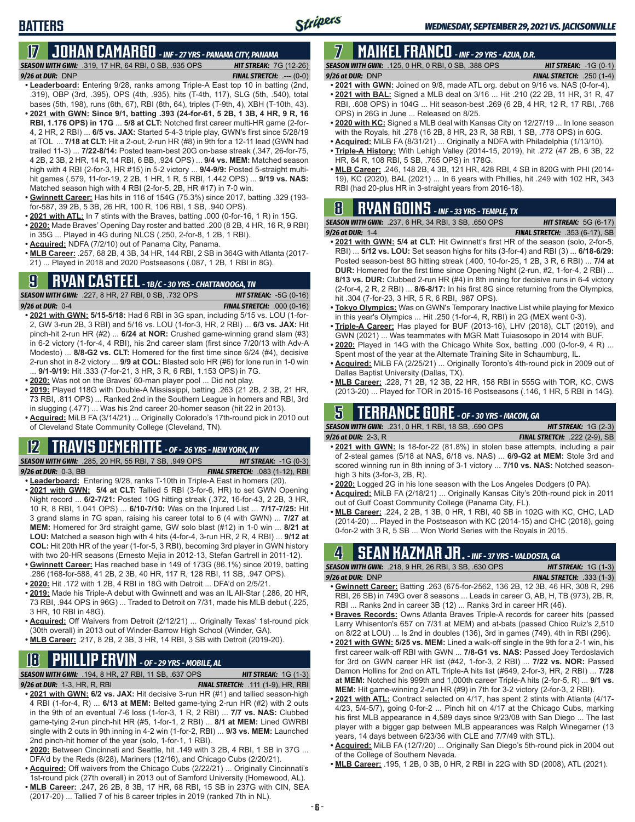*SEASON WITH GWN:*.319, 17 HR, 64 RBI, 0 SB, .935 OPS *HIT STREAK:* 7G (12-26) *9/26 at DUR:* DNP *FINAL STRETCH:* .--- (0-0)

- **• Leaderboard:** Entering 9/28, ranks among Triple-A East top 10 in batting (2nd, .319), OBP (3rd, .395), OPS (4th, .935), hits (T-4th, 117), SLG (5th, .540), total bases (5th, 198), runs (6th, 67), RBI (8th, 64), triples (T-9th, 4), XBH (T-10th, 43). **• 2021 with GWN: Since 9/1, batting .393 (24-for-61, 5 2B, 1 3B, 4 HR, 9 R, 16 RBI, 1.176 OPS) in 17G** ... **5/8 at CLT:** Notched first career multi-HR game (2-for-4, 2 HR, 2 RBI) ... **6/5 vs. JAX:** Started 5-4-3 triple play, GWN's first since 5/28/19 at TOL ... **7/18 at CLT:** Hit a 2-out, 2-run HR (#8) in 9th for a 12-11 lead (GWN had trailed 11-3) ... **7/22-8/14:** Posted team-best 20G on-base streak (.347, 26-for-75, 4 2B, 2 3B, 2 HR, 14 R, 14 RBI, 6 BB, .924 OPS) ... **9/4 vs. MEM:** Matched season high with 4 RBI (2-for-3, HR #15) in 5-2 victory ... **9/4-9/9:** Posted 5-straight multihit games (.579, 11-for-19, 2 2B, 1 HR, 1 R, 5 RBI, 1.442 OPS) ... **9/19 vs. NAS:** Matched season high with 4 RBI (2-for-5, 2B, HR #17) in 7-0 win.
- **• Gwinnett Career:** Has hits in 116 of 154G (75.3%) since 2017, batting .329 (193 for-587, 39 2B, 5 3B, 26 HR, 100 R, 106 RBI, 1 SB, .940 OPS).
- **• 2021 with ATL:** In 7 stints with the Braves, batting .000 (0-for-16, 1 R) in 15G.
- **• 2020:** Made Braves' Opening Day roster and batted .200 (8 2B, 4 HR, 16 R, 9 RBI) in 35G ... Played in 4G during NLCS (.250, 2-for-8, 1 2B, 1 RBI).
- **• Acquired:** NDFA (7/2/10) out of Panama City, Panama.
- **• MLB Career:** .257, 68 2B, 4 3B, 34 HR, 144 RBI, 2 SB in 364G with Atlanta (2017- 21) ... Played in 2018 and 2020 Postseasons (.087, 1 2B, 1 RBI in 8G).

## **9 RYAN CASTEEL** *- 1B/C - 30 YRS - CHATTANOOGA, TN*

*SEASON WITH GWN:*.227, 8 HR, 27 RBI, 0 SB, .732 OPS *HIT STREAK:* -5G (0-16) *9/26 at DUR:*0-4 *FINAL STRETCH:* .000 (0-16)

- **• 2021 with GWN: 5/15-5/18:** Had 6 RBI in 3G span, including 5/15 vs. LOU (1-for-2, GW 3-run 2B, 3 RBI) and 5/16 vs. LOU (1-for-3, HR, 2 RBI) ... **6/3 vs. JAX:** Hit pinch-hit 2-run HR (#2) ... **6/24 at NOR:** Crushed game-winning grand slam (#3) in 6-2 victory (1-for-4, 4 RBI), his 2nd career slam (first since 7/20/13 with Adv-A Modesto) ... **8/8-G2 vs. CLT:** Homered for the first time since 6/24 (#4), decisive 2-run shot in 8-2 victory ... **9/9 at COL:** Blasted solo HR (#6) for lone run in 1-0 win ... **9/1-9/19:** Hit .333 (7-for-21, 3 HR, 3 R, 6 RBI, 1.153 OPS) in 7G.
- **• 2020:** Was not on the Braves' 60-man player pool ... Did not play.
- **• 2019:** Played 118G with Double-A Mississippi, batting .263 (21 2B, 2 3B, 21 HR, 73 RBI, .811 OPS) ... Ranked 2nd in the Southern League in homers and RBI, 3rd in slugging (.477) ... Was his 2nd career 20-homer season (hit 22 in 2013).
- **• Acquired:** MiLB FA (3/14/21) ... Originally Colorado's 17th-round pick in 2010 out of Cleveland State Community College (Cleveland, TN).

## **12 TRAVIS DEMERITTE** *- OF - 26 YRS - NEW YORK, NY*

*SEASON WITH GWN:*.285, 20 HR, 55 RBI, 7 SB, .949 OPS *HIT STREAK:* -1G (0-3) *9/26 at DUR:*0-3, BB *FINAL STRETCH:* .083 (1-12), RBI

- **• Leaderboard:** Entering 9/28, ranks T-10th in Triple-A East in homers (20). **• 2021 with GWN: 5/4 at CLT:** Tallied 5 RBI (3-for-6, HR) to set GWN Opening Night record ... **6/2-7/21:** Posted 10G hitting streak (.372, 16-for-43, 2 2B, 3 HR, 10 R, 8 RBI, 1.041 OPS) ... **6/10-7/10:** Was on the Injured List ... **7/17-7/25:** Hit 3 grand slams in 7G span, raising his career total to 6 (4 with GWN) ... **7/27 at MEM:** Homered for 3rd straight game, GW solo blast (#12) in 1-0 win ... **8/21 at LOU:** Matched a season high with 4 hits (4-for-4, 3-run HR, 2 R, 4 RBI) ... **9/12 at**
- **COL:** Hit 20th HR of the year (1-for-5, 3 RBI), becoming 3rd player in GWN history with two 20-HR seasons (Ernesto Mejia in 2012-13, Stefan Gartrell in 2011-12).
- **• Gwinnett Career:** Has reached base in 149 of 173G (86.1%) since 2019, batting .286 (168-for-588, 41 2B, 2 3B, 40 HR, 117 R, 128 RBI, 11 SB, .947 OPS). **• 2020:** Hit .172 with 1 2B, 4 RBI in 18G with Detroit ... DFA'd on 2/5/21.
- 
- **• 2019:** Made his Triple-A debut with Gwinnett and was an IL All-Star (.286, 20 HR, 73 RBI, .944 OPS in 96G) ... Traded to Detroit on 7/31, made his MLB debut (.225, 3 HR, 10 RBI in 48G).
- **• Acquired:** Off Waivers from Detroit (2/12/21) ... Originally Texas' 1st-round pick (30th overall) in 2013 out of Winder-Barrow High School (Winder, GA).
- **• MLB Career:** .217, 8 2B, 2 3B, 3 HR, 14 RBI, 3 SB with Detroit (2019-20).

# **18 PHILLIP ERVIN** *- OF - 29 YRS - MOBILE, AL*

*SEASON WITH GWN:*.194, 8 HR, 27 RBI, 11 SB, .637 OPS *HIT STREAK:* 1G (1-3)

- *9/26 at DUR:*1-3, HR, R, RBI *FINAL STRETCH:* .111 (1-9), HR, RBI
- **• 2021 with GWN: 6/2 vs. JAX:** Hit decisive 3-run HR (#1) and tallied season-high 4 RBI (1-for-4, R) ... **6/13 at MEM:** Belted game-tying 2-run HR (#2) with 2 outs in the 9th of an eventual 7-6 loss (1-for-3, 1 R, 2 RBI) ... **7/7 vs. NAS:** Clubbed game-tying 2-run pinch-hit HR (#5, 1-for-1, 2 RBI) ... **8/1 at MEM:** Lined GWRBI single with 2 outs in 9th inning in 4-2 win (1-for-2, RBI) ... **9/3 vs. MEM:** Launched 2nd pinch-hit homer of the year (solo, 1-for-1, 1 RBI).
- **• 2020:** Between Cincinnati and Seattle, hit .149 with 3 2B, 4 RBI, 1 SB in 37G ... DFA'd by the Reds (8/28), Mariners (12/16), and Chicago Cubs (2/20/21).
- **• Acquired:** Off waivers from the Chicago Cubs (2/22/21) ... Originally Cincinnati's 1st-round pick (27th overall) in 2013 out of Samford University (Homewood, AL).
- **• MLB Career:** .247, 26 2B, 8 3B, 17 HR, 68 RBI, 15 SB in 237G with CIN, SEA (2017-20) ... Tallied 7 of his 8 career triples in 2019 (ranked 7th in NL).

# **7 MAIKEL FRANCO** *- INF - 29 YRS - AZUA, D.R.*

*SEASON WITH GWN:*.125, 0 HR, 0 RBI, 0 SB, .388 OPS *HIT STREAK:* -1G (0-1) *9/26 at DUR:*DNP *FINAL STRETCH:* .250 (1-4)

Stripers

- **• 2021 with GWN:** Joined on 9/8, made ATL org. debut on 9/16 vs. NAS (0-for-4). **• 2021 with BAL:** Signed a MLB deal on 3/16 ... Hit .210 (22 2B, 11 HR, 31 R, 47 RBI, .608 OPS) in 104G ... Hit season-best .269 (6 2B, 4 HR, 12 R, 17 RBI, .768 OPS) in 26G in June ... Released on 8/25.
- **• 2020 with KC:** Signed a MLB deal with Kansas City on 12/27/19 ... In lone season with the Royals, hit .278 (16 2B, 8 HR, 23 R, 38 RBI, 1 SB, .778 OPS) in 60G.
- **• Acquired:** MiLB FA (8/31/21) ... Originally a NDFA with Philadelphia (1/13/10).
- **• Triple-A History:** With Lehigh Valley (2014-15, 2019), hit .272 (47 2B, 6 3B, 22 HR, 84 R, 108 RBI, 5 SB, .765 OPS) in 178G.
- **• MLB Career:** .246, 148 2B, 4 3B, 121 HR, 428 RBI, 4 SB in 820G with PHI (2014- 19), KC (2020), BAL (2021) ... In 6 years with Phillies, hit .249 with 102 HR, 343 RBI (had 20-plus HR in 3-straight years from 2016-18).

## **8 RYAN GOINS** *- INF - 33 YRS - TEMPLE, TX*

| <b>SEASON WITH GWN:</b> .237, 6 HR, 34 RBI, 3 SB, .650 OPS | <b>HIT STREAK:</b> $5G(6-17)$         |
|------------------------------------------------------------|---------------------------------------|
| 9/26 at DUR: 1-4                                           | <b>FINAL STRETCH:</b> .353 (6-17), SB |
| $\mathcal{A}$                                              |                                       |

- **• 2021 with GWN: 5/4 at CLT:** Hit Gwinnett's first HR of the season (solo, 2-for-5, RBI) ... **5/12 vs. LOU:** Set season highs for hits (3-for-4) and RBI (3) ... **6/18-6/29:** Posted season-best 8G hitting streak (.400, 10-for-25, 1 2B, 3 R, 6 RBI) ... **7/4 at DUR:** Homered for the first time since Opening Night (2-run, #2, 1-for-4, 2 RBI) ... **8/13 vs. DUR:** Clubbed 2-run HR (#4) in 8th inning for decisive runs in 6-4 victory (2-for-4, 2 R, 2 RBI) ... **8/6-8/17:** In his first 8G since returning from the Olympics, hit .304 (7-for-23, 3 HR, 5 R, 6 RBI, .987 OPS).
- **• Tokyo Olympics:** Was on GWN's Temporary Inactive List while playing for Mexico in this year's Olympics ... Hit .250 (1-for-4, R, RBI) in 2G (MEX went 0-3).
- **• Triple-A Career:** Has played for BUF (2013-16), LHV (2018), CLT (2019), and GWN (2021) ... Was teammates with MGR Matt Tuiasosopo in 2014 with BUF.
- **• 2020:** Played in 14G with the Chicago White Sox, batting .000 (0-for-9, 4 R) ... Spent most of the year at the Alternate Training Site in Schaumburg, IL.
- **• Acquired:** MiLB FA (2/25/21) ... Originally Toronto's 4th-round pick in 2009 out of Dallas Baptist University (Dallas, TX).
- **• MLB Career:** .228, 71 2B, 12 3B, 22 HR, 158 RBI in 555G with TOR, KC, CWS (2013-20) ... Played for TOR in 2015-16 Postseasons (.146, 1 HR, 5 RBI in 14G).

## **5 TERRANCE GORE** *- OF - 30 YRS - MACON, GA*

*SEASON WITH GWN:*.231, 0 HR, 1 RBI, 18 SB, .690 OPS *HIT STREAK:* 1G (2-3) *9/26 at DUR:*2-3, R *FINAL STRETCH:* .222 (2-9), SB

- **• 2021 with GWN:** Is 18-for-22 (81.8%) in stolen base attempts, including a pair of 2-steal games (5/18 at NAS, 6/18 vs. NAS) ... **6/9-G2 at MEM:** Stole 3rd and scored winning run in 8th inning of 3-1 victory ... **7/10 vs. NAS:** Notched seasonhigh 3 hits (3-for-3, 2B, R).
- **• 2020:** Logged 2G in his lone season with the Los Angeles Dodgers (0 PA).
- **• Acquired:** MiLB FA (2/18/21) ... Originally Kansas City's 20th-round pick in 2011 out of Gulf Coast Community College (Panama City, FL).
- **• MLB Career:** .224, 2 2B, 1 3B, 0 HR, 1 RBI, 40 SB in 102G with KC, CHC, LAD (2014-20) ... Played in the Postseason with KC (2014-15) and CHC (2018), going 0-for-2 with 3 R, 5 SB ... Won World Series with the Royals in 2015.

## **4 SEAN KAZMAR JR.** *- INF - 37 YRS - VALDOSTA, GA*

| <b>SEASON WITH GWN:</b> .218, 9 HR, 26 RBI, 3 SB, .630 OPS                |  | <b>HIT STREAK:</b> $1G(1-3)$      |  |
|---------------------------------------------------------------------------|--|-----------------------------------|--|
| $9/26$ at DUR: $DNP$                                                      |  | <b>FINAL STRETCH:</b> $.333(1-3)$ |  |
| . Cuinnatt Caroor: Potting 263 (675 for 2562 126 2D 12 2D 16 UD 200 D 206 |  |                                   |  |

- **• Gwinnett Career:** Batting .263 (675-for-2562, 136 2B, 12 3B, 46 HR, 308 R, 296 RBI, 26 SB) in 749G over 8 seasons ... Leads in career G, AB, H, TB (973), 2B, R, RBI ... Ranks 2nd in career 3B (12) ... Ranks 3rd in career HR (46).
- **• Braves Records:** Owns Atlanta Braves Triple-A records for career hits (passed Larry Whisenton's 657 on 7/31 at MEM) and at-bats (passed Chico Ruiz's 2,510 on 8/22 at LOU) ... Is 2nd in doubles (136), 3rd in games (749), 4th in RBI (296).
- **• 2021 with GWN: 5/25 vs. MEM:** Lined a walk-off single in the 9th for a 2-1 win, his first career walk-off RBI with GWN ... **7/8-G1 vs. NAS:** Passed Joey Terdoslavich for 3rd on GWN career HR list (#42, 1-for-3, 2 RBI) ... **7/22 vs. NOR:** Passed Damon Hollins for 2nd on ATL Triple-A hits list (#649, 2-for-3, HR, 2 RBI) ... **7/28 at MEM:** Notched his 999th and 1,000th career Triple-A hits (2-for-5, R) ... **9/1 vs. MEM:** Hit game-winning 2-run HR (#9) in 7th for 3-2 victory (2-for-3, 2 RBI).
- **• 2021 with ATL:** Contract selected on 4/17, has spent 2 stints with Atlanta (4/17- 4/23, 5/4-5/7), going 0-for-2 ... Pinch hit on 4/17 at the Chicago Cubs, marking his first MLB appearance in 4,589 days since 9/23/08 with San Diego ... The last player with a bigger gap between MLB appearances was Ralph Winegarner (13 years, 14 days between 6/23/36 with CLE and 7/7/49 with STL).
- **• Acquired:** MiLB FA (12/7/20) ... Originally San Diego's 5th-round pick in 2004 out of the College of Southern Nevada.
- **• MLB Career:** .195, 1 2B, 0 3B, 0 HR, 2 RBI in 22G with SD (2008), ATL (2021).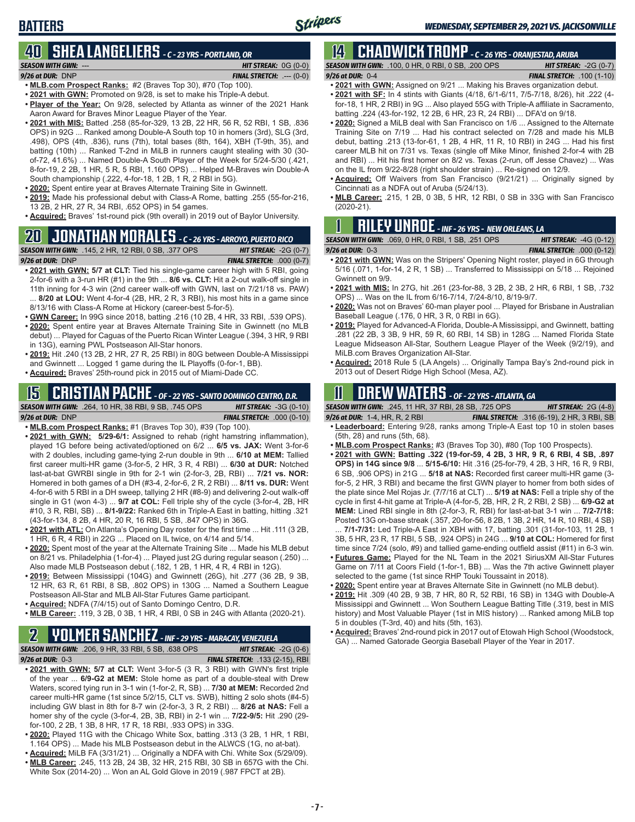### **40 SHEA LANGELIERS** *- C - 23 YRS - PORTLAND, OR SEASON WITH GWN:*--- *HIT STREAK:* 0G (0-0)

- *9/26 at DUR:*DNP *FINAL STRETCH:* .--- (0-0) **• MLB.com Prospect Ranks:** #2 (Braves Top 30), #70 (Top 100).
- **• 2021 with GWN:** Promoted on 9/28, is set to make his Triple-A debut.
- **• Player of the Year:** On 9/28, selected by Atlanta as winner of the 2021 Hank Aaron Award for Braves Minor League Player of the Year.
- **• 2021 with MIS:** Batted .258 (85-for-329, 13 2B, 22 HR, 56 R, 52 RBI, 1 SB, .836 OPS) in 92G ... Ranked among Double-A South top 10 in homers (3rd), SLG (3rd, .498), OPS (4th, .836), runs (7th), total bases (8th, 164), XBH (T-9th, 35), and batting (10th) ... Ranked T-2nd in MiLB in runners caught stealing with 30 (30 of-72, 41.6%) ... Named Double-A South Player of the Week for 5/24-5/30 (.421, 8-for-19, 2 2B, 1 HR, 5 R, 5 RBI, 1.160 OPS) ... Helped M-Braves win Double-A South championship (.222, 4-for-18, 1 2B, 1 R, 2 RBI in 5G).
- **• 2020:** Spent entire year at Braves Alternate Training Site in Gwinnett.
- **• 2019:** Made his professional debut with Class-A Rome, batting .255 (55-for-216, 13 2B, 2 HR, 27 R, 34 RBI, .652 OPS) in 54 games.
- **• Acquired:** Braves' 1st-round pick (9th overall) in 2019 out of Baylor University.
- **20 JONATHAN MORALES**  *C 26 YRS ARROYO, PUERTO RICO*

## *SEASON WITH GWN:*.145, 2 HR, 12 RBI, 0 SB, .377 OPS *HIT STREAK:* -2G (0-7)

- *9/26 at DUR:*DNP *FINAL STRETCH:* .000 (0-7) **• 2021 with GWN: 5/7 at CLT:** Tied his single-game career high with 5 RBI, going 2-for-6 with a 3-run HR (#1) in the 9th ... **8/6 vs. CLT:** Hit a 2-out walk-off single in 11th inning for 4-3 win (2nd career walk-off with GWN, last on 7/21/18 vs. PAW) ... **8/20 at LOU:** Went 4-for-4 (2B, HR, 2 R, 3 RBI), his most hits in a game since 8/13/16 with Class-A Rome at Hickory (career-best 5-for-5).
- **• GWN Career:** In 99G since 2018, batting .216 (10 2B, 4 HR, 33 RBI, .539 OPS).
- **• 2020:** Spent entire year at Braves Alternate Training Site in Gwinnett (no MLB debut) ... Played for Caguas of the Puerto Rican Winter League (.394, 3 HR, 9 RBI in 13G), earning PWL Postseason All-Star honors.
- **• 2019:** Hit .240 (13 2B, 2 HR, 27 R, 25 RBI) in 80G between Double-A Mississippi and Gwinnett ... Logged 1 game during the IL Playoffs (0-for-1, BB).
- **• Acquired:** Braves' 25th-round pick in 2015 out of Miami-Dade CC.

# **15 CRISTIAN PACHE** *- OF - 22 YRS - SANTO DOMINGO CENTRO, D.R.*

## *SEASON WITH GWN:*.264, 10 HR, 38 RBI, 9 SB, .745 OPS *HIT STREAK:* -3G (0-10)

*9/26 at DUR:* DNP *FINAL STRETCH:* .000 (0-10)

- **• MLB.com Prospect Ranks:** #1 (Braves Top 30), #39 (Top 100).
- **• 2021 with GWN: 5/29-6/1:** Assigned to rehab (right hamstring inflammation), played 1G before being activated/optioned on 6/2 ... **6/5 vs. JAX:** Went 3-for-6 with 2 doubles, including game-tying 2-run double in 9th ... **6/10 at MEM:** Tallied first career multi-HR game (3-for-5, 2 HR, 3 R, 4 RBI) ... **6/30 at DUR:** Notched last-at-bat GWRBI single in 9th for 2-1 win (2-for-3, 2B, RBI) ... **7/21 vs. NOR:** Homered in both games of a DH (#3-4, 2-for-6, 2 R, 2 RBI) ... **8/11 vs. DUR:** Went 4-for-6 with 5 RBI in a DH sweep, tallying 2 HR (#8-9) and delivering 2-out walk-off single in G1 (won 4-3) ... **9/7 at COL:** Fell triple shy of the cycle (3-for-4, 2B, HR #10, 3 R, RBI, SB) ... **8/1-9/22:** Ranked 6th in Triple-A East in batting, hitting .321 (43-for-134, 8 2B, 4 HR, 20 R, 16 RBI, 5 SB, .847 OPS) in 36G.
- **• 2021 with ATL:** On Atlanta's Opening Day roster for the first time ... Hit .111 (3 2B, 1 HR, 6 R, 4 RBI) in 22G ... Placed on IL twice, on 4/14 and 5/14.
- **• 2020:** Spent most of the year at the Alternate Training Site ... Made his MLB debut on 8/21 vs. Philadelphia (1-for-4) ... Played just 2G during regular season (.250) ... Also made MLB Postseason debut (.182, 1 2B, 1 HR, 4 R, 4 RBI in 12G).
- **• 2019:** Between Mississippi (104G) and Gwinnett (26G), hit .277 (36 2B, 9 3B, 12 HR, 63 R, 61 RBI, 8 SB, .802 OPS) in 130G ... Named a Southern League Postseason All-Star and MLB All-Star Futures Game participant.
- **• Acquired:** NDFA (7/4/15) out of Santo Domingo Centro, D.R.
- **• MLB Career:** .119, 3 2B, 0 3B, 1 HR, 4 RBI, 0 SB in 24G with Atlanta (2020-21).

## **2 YOLMER SANCHEZ** *- INF - 29 YRS - MARACAY, VENEZUELA*

*SEASON WITH GWN:*.206, 9 HR, 33 RBI, 5 SB, .638 OPS *HIT STREAK:* -2G (0-6) *9/26 at DUR:*0-3 *FINAL STRETCH:* .133 (2-15), RBI

- **• 2021 with GWN: 5/7 at CLT:** Went 3-for-5 (3 R, 3 RBI) with GWN's first triple of the year ... **6/9-G2 at MEM:** Stole home as part of a double-steal with Drew Waters, scored tying run in 3-1 win (1-for-2, R, SB) ... **7/30 at MEM:** Recorded 2nd career multi-HR game (1st since 5/2/15, CLT vs. SWB), hitting 2 solo shots (#4-5) including GW blast in 8th for 8-7 win (2-for-3, 3 R, 2 RBI) ... **8/26 at NAS:** Fell a homer shy of the cycle (3-for-4, 2B, 3B, RBI) in 2-1 win ... **7/22-9/5:** Hit .290 (29 for-100, 2 2B, 1 3B, 8 HR, 17 R, 18 RBI, .933 OPS) in 33G.
- **• 2020:** Played 11G with the Chicago White Sox, batting .313 (3 2B, 1 HR, 1 RBI, 1.164 OPS) ... Made his MLB Postseason debut in the ALWCS (1G, no at-bat).
- **• Acquired:** MiLB FA (3/31/21) ... Originally a NDFA with Chi. White Sox (5/29/09).
- **• MLB Career:** .245, 113 2B, 24 3B, 32 HR, 215 RBI, 30 SB in 657G with the Chi. White Sox (2014-20) ... Won an AL Gold Glove in 2019 (.987 FPCT at 2B).

# **14 CHADWICK TROMP** *- C - 26 YRS - ORANJESTAD, ARUBA*

- *SEASON WITH GWN:*.100, 0 HR, 0 RBI, 0 SB, .200 OPS *HIT STREAK:* -2G (0-7) *9/26 at DUR:*0-4 *FINAL STRETCH:* .100 (1-10)
- **• 2021 with GWN:** Assigned on 9/21 ... Making his Braves organization debut.
- **• 2021 with SF:** In 4 stints with Giants (4/18, 6/1-6/11, 7/5-7/18, 8/26), hit .222 (4 for-18, 1 HR, 2 RBI) in 9G ... Also played 55G with Triple-A affiliate in Sacramento, batting .224 (43-for-192, 12 2B, 6 HR, 23 R, 24 RBI) ... DFA'd on 9/18.
- **• 2020:** Signed a MiLB deal with San Francisco on 1/6 ... Assigned to the Alternate Training Site on 7/19 ... Had his contract selected on 7/28 and made his MLB debut, batting .213 (13-for-61, 1 2B, 4 HR, 11 R, 10 RBI) in 24G ... Had his first career MLB hit on 7/31 vs. Texas (single off Mike Minor, finished 2-for-4 with 2B and RBI) ... Hit his first homer on 8/2 vs. Texas (2-run, off Jesse Chavez) ... Was on the IL from 9/22-8/28 (right shoulder strain) ... Re-signed on 12/9.
- **• Acquired:** Off Waivers from San Francisco (9/21/21) ... Originally signed by Cincinnati as a NDFA out of Aruba (5/24/13).
- **• MLB Career:** .215, 1 2B, 0 3B, 5 HR, 12 RBI, 0 SB in 33G with San Francisco (2020-21).

| $\mathbf 1$ |                                              |  |  | <b>RILEY UNROE</b> - INF - 26 YRS - NEW ORLEANS, LA |
|-------------|----------------------------------------------|--|--|-----------------------------------------------------|
|             | CONJUNTIL CHINE ACO A LID A DDL 4 CD AF4 ODC |  |  | III76                                               |

| <b>SEASON WITH GWN:</b> .069. 0 HR. 0 RBI. 1 SB. .251 OPS | <b>HIT STREAK:</b> $-4G$ (0-12)    |
|-----------------------------------------------------------|------------------------------------|
| <b>9/26 at DUR:</b> $0-3$                                 | <b>FINAL STRETCH:</b> $.000(0-12)$ |
| $\cdots$                                                  |                                    |

- **• 2021 with GWN:** Was on the Stripers' Opening Night roster, played in 6G through 5/16 (.071, 1-for-14, 2 R, 1 SB) ... Transferred to Mississippi on 5/18 ... Rejoined Gwinnett on 9/9.
- **• 2021 with MIS:** In 27G, hit .261 (23-for-88, 3 2B, 2 3B, 2 HR, 6 RBI, 1 SB, .732 OPS) ... Was on the IL from 6/16-7/14, 7/24-8/10, 8/19-9/7.
- **• 2020:** Was not on Braves' 60-man player pool ... Played for Brisbane in Australian Baseball League (.176, 0 HR, 3 R, 0 RBI in 6G).
- **• 2019:** Played for Advanced-A Florida, Double-A Mississippi, and Gwinnett, batting .281 (22 2B, 3 3B, 9 HR, 59 R, 60 RBI, 14 SB) in 128G ... Named Florida State League Midseason All-Star, Southern League Player of the Week (9/2/19), and MiLB.com Braves Organization All-Star.
- **• Acquired:** 2018 Rule 5 (LA Angels) ... Originally Tampa Bay's 2nd-round pick in 2013 out of Desert Ridge High School (Mesa, AZ).

## **11 Drew WATERS** *- OF - 22 YRS - ATLANTA, GA*

*SEASON WITH GWN:*.245, 11 HR, 37 RBI, 28 SB, .725 OPS *HIT STREAK:* 2G (4-8)

- *9/26 at DUR:*1-4, HR, R, 2 RBI *FINAL STRETCH:* .316 (6-19), 2 HR, 3 RBI, SB **• Leaderboard:** Entering 9/28, ranks among Triple-A East top 10 in stolen bases (5th, 28) and runs (5th, 68).
- **• MLB.com Prospect Ranks:** #3 (Braves Top 30), #80 (Top 100 Prospects).
- 
- **• 2021 with GWN: Batting .322 (19-for-59, 4 2B, 3 HR, 9 R, 6 RBI, 4 SB, .897 OPS) in 14G since 9/8** ... **5/15-6/10:** Hit .316 (25-for-79, 4 2B, 3 HR, 16 R, 9 RBI, 6 SB, .906 OPS) in 21G ... **5/18 at NAS:** Recorded first career multi-HR game (3 for-5, 2 HR, 3 RBI) and became the first GWN player to homer from both sides of the plate since Mel Rojas Jr. (7/7/16 at CLT) ... **5/19 at NAS:** Fell a triple shy of the cycle in first 4-hit game at Triple-A (4-for-5, 2B, HR, 2 R, 2 RBI, 2 SB) ... **6/9-G2 at MEM:** Lined RBI single in 8th (2-for-3, R, RBI) for last-at-bat 3-1 win ... **7/2-7/18:** Posted 13G on-base streak (.357, 20-for-56, 8 2B, 1 3B, 2 HR, 14 R, 10 RBI, 4 SB)

... **7/1-7/31:** Led Triple-A East in XBH with 17, batting .301 (31-for-103, 11 2B, 1 3B, 5 HR, 23 R, 17 RBI, 5 SB, .924 OPS) in 24G ... **9/10 at COL:** Homered for first time since 7/24 (solo, #9) and tallied game-ending outfield assist (#11) in 6-3 win.

- **• Futures Game:** Played for the NL Team in the 2021 SiriusXM All-Star Futures Game on 7/11 at Coors Field (1-for-1, BB) ... Was the 7th active Gwinnett player selected to the game (1st since RHP Touki Toussaint in 2018).
- **• 2020:** Spent entire year at Braves Alternate Site in Gwinnett (no MLB debut).
- **• 2019:** Hit .309 (40 2B, 9 3B, 7 HR, 80 R, 52 RBI, 16 SB) in 134G with Double-A Mississippi and Gwinnett ... Won Southern League Batting Title (.319, best in MIS history) and Most Valuable Player (1st in MIS history) ... Ranked among MiLB top 5 in doubles (T-3rd, 40) and hits (5th, 163).
- **• Acquired:** Braves' 2nd-round pick in 2017 out of Etowah High School (Woodstock, GA) ... Named Gatorade Georgia Baseball Player of the Year in 2017.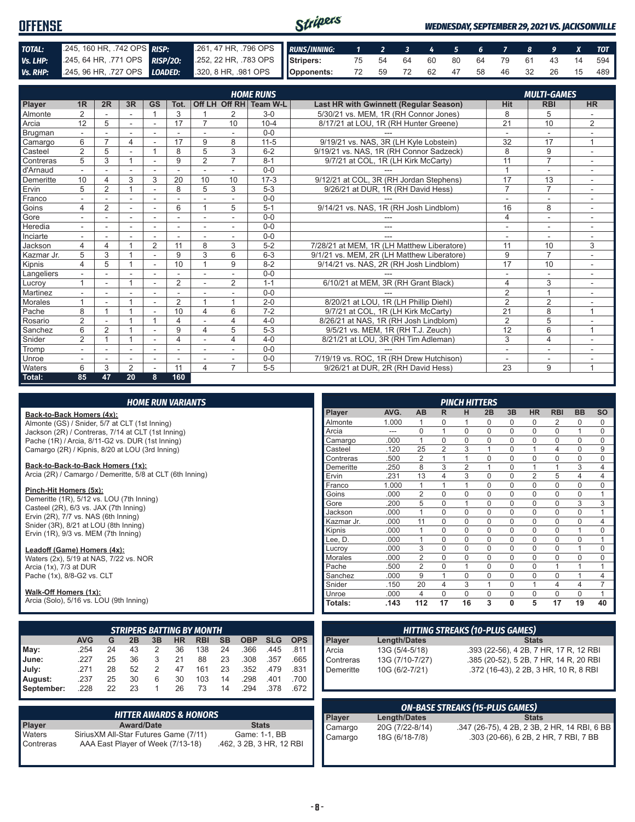| <b>OFFENSE</b> |                                                                                                       |  | Stripers<br>WEDNESDAY, SEPTEMBER 29, 2021 VS. JACKSONVILLE |  |  |  |  |  |  |  |  |  |  |                                   |
|----------------|-------------------------------------------------------------------------------------------------------|--|------------------------------------------------------------|--|--|--|--|--|--|--|--|--|--|-----------------------------------|
|                |                                                                                                       |  |                                                            |  |  |  |  |  |  |  |  |  |  |                                   |
| TOTAL:         | 245, 160 HR, 742 OPS RISP:                                                                            |  | 261, 47 HR, 796 OPS RUNS/INNING: 1 2 3 4 5 6 7 8 9 X TOT   |  |  |  |  |  |  |  |  |  |  |                                   |
|                | Vs. LHP: 245, 64 HR, 771 OPS RISP/20: 252, 22 HR, 783 OPS Stripers: 75 54 64 60 80 64 79 61 43 14 594 |  |                                                            |  |  |  |  |  |  |  |  |  |  |                                   |
|                | Vs. RHP: 245, 96 HR, 727 OPS LOADED: 320, 8 HR, 981 OPS Opponents:                                    |  |                                                            |  |  |  |  |  |  |  |  |  |  | 72 59 72 62 47 58 46 32 26 15 489 |

|                |                |                |                |                          |                          |                          |                          | <b>HOME RUNS</b>       |                                               |                | <b>MULTI-GAMES</b>       |                          |
|----------------|----------------|----------------|----------------|--------------------------|--------------------------|--------------------------|--------------------------|------------------------|-----------------------------------------------|----------------|--------------------------|--------------------------|
| Player         | 1 <sub>R</sub> | 2R             | 3R             | <b>GS</b>                | Tot.                     |                          |                          | Off LH Off RH Team W-L | <b>Last HR with Gwinnett (Regular Season)</b> | <b>Hit</b>     | <b>RBI</b>               | <b>HR</b>                |
| Almonte        | $\overline{2}$ |                |                |                          | 3                        |                          | 2                        | $3-0$                  | 5/30/21 vs. MEM, 1R (RH Connor Jones)         | 8              | 5                        |                          |
| Arcia          | 12             | 5              | $\sim$         | $\blacksquare$           | 17                       |                          | 10                       | $10 - 4$               | 8/17/21 at LOU, 1R (RH Hunter Greene)         | 21             | 10                       | $\overline{2}$           |
| Brugman        |                |                | ÷              | ä,                       |                          |                          |                          | $0 - 0$                |                                               | ä,             | $\overline{\phantom{a}}$ |                          |
| Camargo        | 6              | $\overline{ }$ | $\overline{4}$ |                          | 17                       | 9                        | 8                        | $11 - 5$               | 9/19/21 vs. NAS, 3R (LH Kyle Lobstein)        | 32             | 17                       | 1                        |
| Casteel        | $\overline{2}$ | 5              |                |                          | 8                        | 5                        | 3                        | $6 - 2$                | 9/19/21 vs. NAS, 1R (RH Connor Sadzeck)       | 8              | 9                        | $\sim$                   |
| Contreras      | 5              | 3              |                |                          | 9                        | $\overline{2}$           | $\overline{7}$           | $8 - 1$                | 9/7/21 at COL, 1R (LH Kirk McCarty)           | 11             | $\overline{7}$           |                          |
| d'Arnaud       |                |                |                |                          |                          |                          |                          | $0 - 0$                |                                               | $\overline{1}$ | ٠                        |                          |
| Demeritte      | 10             | 4              | 3              | 3                        | 20                       | 10                       | 10                       | $17-3$                 | 9/12/21 at COL, 3R (RH Jordan Stephens)       | 17             | 13                       | ٠                        |
| Ervin          | 5              | $\overline{2}$ |                |                          | 8                        | 5                        | 3                        | $5 - 3$                | 9/26/21 at DUR, 1R (RH David Hess)            | $\overline{7}$ | $\overline{7}$           |                          |
| Franco         |                |                |                |                          |                          |                          |                          | $0 - 0$                |                                               |                | ÷.                       |                          |
| Goins          | 4              | $\overline{2}$ | ٠              | $\overline{\phantom{a}}$ | 6                        |                          | 5                        | $5 - 1$                | 9/14/21 vs. NAS, 1R (RH Josh Lindblom)        | 16             | 8                        | ٠                        |
| Gore           |                |                | ٠              | ٠                        | $\overline{\phantom{a}}$ | $\overline{\phantom{a}}$ | $\overline{\phantom{a}}$ | $0 - 0$                |                                               | $\overline{4}$ | ٠                        |                          |
| Heredia        |                |                |                |                          |                          |                          |                          | $0 - 0$                | ---                                           |                | ٠                        |                          |
| Inciarte       |                |                |                |                          |                          |                          |                          | $0 - 0$                | ---                                           | ۰              | ٠                        |                          |
| Jackson        | 4              | 4              |                | 2                        | 11                       | 8                        | 3                        | $5 - 2$                | 7/28/21 at MEM, 1R (LH Matthew Liberatore)    | 11             | 10                       | 3                        |
| Kazmar Jr.     | 5              | 3              |                |                          | 9                        | 3                        | 6                        | $6 - 3$                | 9/1/21 vs. MEM, 2R (LH Matthew Liberatore)    | 9              | $\overline{7}$           |                          |
| Kipnis         | 4              | 5              |                | ÷                        | 10                       | $\overline{A}$           | 9                        | $8 - 2$                | 9/14/21 vs. NAS, 2R (RH Josh Lindblom)        | 17             | 10                       | $\overline{\phantom{a}}$ |
| Langeliers     |                |                |                | ٠                        |                          | $\overline{\phantom{a}}$ |                          | $0 - 0$                |                                               | ٠              | ٠                        | ٠                        |
| Lucrov         |                |                |                |                          | $\overline{2}$           |                          | $\overline{2}$           | $1 - 1$                | 6/10/21 at MEM, 3R (RH Grant Black)           | 4              | 3                        |                          |
| Martinez       |                |                |                |                          |                          |                          |                          | $0 - 0$                |                                               | $\overline{2}$ | $\overline{1}$           |                          |
| <b>Morales</b> |                |                |                | $\overline{a}$           | 2                        | $\overline{A}$           | $\overline{1}$           | $2 - 0$                | 8/20/21 at LOU, 1R (LH Phillip Diehl)         | $\overline{2}$ | $\overline{2}$           |                          |
| Pache          | 8              |                |                |                          | 10                       | 4                        | 6                        | $7-2$                  | 9/7/21 at COL. 1R (LH Kirk McCarty)           | 21             | 8                        | 1                        |
| Rosario        | $\overline{2}$ |                |                |                          | 4                        |                          | 4                        | $4 - 0$                | 8/26/21 at NAS, 1R (RH Josh Lindblom)         | 2              | 5                        |                          |
| Sanchez        | 6              | $\overline{2}$ |                |                          | 9                        | 4                        | 5                        | $5-3$                  | 9/5/21 vs. MEM, 1R (RH T.J. Zeuch)            | 12             | 6                        | $\overline{1}$           |
| Snider         | $\overline{2}$ |                |                | ٠                        | $\overline{4}$           |                          | 4                        | $4 - 0$                | 8/21/21 at LOU, 3R (RH Tim Adleman)           | 3              | $\overline{4}$           |                          |
| Tromp          |                |                | ٠              | $\blacksquare$           | ٠                        |                          |                          | $0 - 0$                |                                               | ۰              | ٠                        |                          |
| Unroe          |                |                |                |                          |                          |                          |                          | $0 - 0$                | 7/19/19 vs. ROC, 1R (RH Drew Hutchison)       |                |                          |                          |
| Waters         | 6              | 3              | 2              | $\sim$                   | 11                       | 4                        | $\overline{7}$           | $5-5$                  | 9/26/21 at DUR, 2R (RH David Hess)            | 23             | 9                        | $\overline{1}$           |
| Total:         | 85             | 47             | 20             | 8                        | 160                      |                          |                          |                        |                                               |                |                          |                          |

#### *HOME RUN VARIANTS*

#### **Back-to-Back Homers (4x):**

Almonte (GS) / Snider, 5/7 at CLT (1st Inning) Jackson (2R) / Contreras, 7/14 at CLT (1st Inning) Pache (1R) / Arcia, 8/11-G2 vs. DUR (1st Inning) Camargo (2R) / Kipnis, 8/20 at LOU (3rd Inning)

#### **Back-to-Back-to-Back Homers (1x):**

Arcia (2R) / Camargo / Demeritte, 5/8 at CLT (6th Inning)

#### **Pinch-Hit Homers (5x):**

Demeritte (1R), 5/12 vs. LOU (7th Inning) Casteel (2R), 6/3 vs. JAX (7th Inning) Ervin (2R), 7/7 vs. NAS (6th Inning) Snider (3R), 8/21 at LOU (8th Inning) Ervin (1R), 9/3 vs. MEM (7th Inning)

#### **Leadoff (Game) Homers (4x):**

Waters (2x), 5/19 at NAS, 7/22 vs. NOR Arcia (1x), 7/3 at DUR Pache (1x), 8/8-G2 vs. CLT

#### **Walk-Off Homers (1x):**

Arcia (Solo), 5/16 vs. LOU (9th Inning)

|                        | <b>STRIPERS BATTING BY MONTH</b>                                                                              |    |    |              |    |     |    |      |      |      |  |  |  |  |  |
|------------------------|---------------------------------------------------------------------------------------------------------------|----|----|--------------|----|-----|----|------|------|------|--|--|--|--|--|
|                        | <b>AVG</b><br><b>SLG</b><br><b>SB</b><br><b>OBP</b><br><b>RBI</b><br><b>HR</b><br><b>OPS</b><br>2B<br>3B<br>G |    |    |              |    |     |    |      |      |      |  |  |  |  |  |
|                        | .254                                                                                                          | 24 | 43 | 2            | 36 | 138 | 24 | .366 | .445 | .811 |  |  |  |  |  |
| May:<br>June:<br>July: | .227                                                                                                          | 25 | 36 | 3            | 21 | 88  | 23 | .308 | .357 | .665 |  |  |  |  |  |
|                        | .271                                                                                                          | 28 | 52 | 2            | 47 | 161 | 23 | .352 | .479 | .831 |  |  |  |  |  |
| August:                | .237                                                                                                          | 25 | 30 | 6            | 30 | 103 | 14 | .298 | .401 | .700 |  |  |  |  |  |
| September:             | .228                                                                                                          | 22 | 23 | $\mathbf{1}$ | 26 | 73  | 14 | .294 | .378 | .672 |  |  |  |  |  |

|               | <b>HITTER AWARDS &amp; HONORS</b>      |                          |
|---------------|----------------------------------------|--------------------------|
| <b>Player</b> | <b>Award/Date</b>                      | <b>Stats</b>             |
| Waters        | Sirius XM All-Star Futures Game (7/11) | Game: 1-1, BB            |
| Contreras     | AAA East Player of Week (7/13-18)      | .462, 3 2B, 3 HR, 12 RBI |

|                |       |                |                | <b>PINCH HITTERS</b> |          |          |                |             |                |             |
|----------------|-------|----------------|----------------|----------------------|----------|----------|----------------|-------------|----------------|-------------|
| Player         | AVG.  | <b>AB</b>      | R              | н                    | 2B       | 3B       | <b>HR</b>      | <b>RBI</b>  | <b>BB</b>      | <b>SO</b>   |
| Almonte        | 1.000 | 1              | $\Omega$       | 1                    | 0        | 0        | $\Omega$       | 2           | $\Omega$       | $\Omega$    |
| Arcia          |       | $\Omega$       | 1              | $\Omega$             | $\Omega$ | 0        | $\Omega$       | 0           | 1              | $\Omega$    |
| Camargo        | .000  | 1              | $\Omega$       | $\Omega$             | $\Omega$ | $\Omega$ | $\mathbf 0$    | $\mathbf 0$ | $\Omega$       | $\Omega$    |
| Casteel        | .120  | 25             | $\overline{2}$ | 3                    | 1        | 0        | 1              | 4           | $\mathbf 0$    | 9           |
| Contreras      | .500  | $\overline{2}$ | 1              | 1                    | $\Omega$ | $\Omega$ | $\mathbf 0$    | $\mathbf 0$ | $\Omega$       | $\Omega$    |
| Demeritte      | .250  | 8              | 3              | $\overline{2}$       | 1        | $\Omega$ | 1              | 1           | 3              | 4           |
| Ervin          | .231  | 13             | 4              | 3                    | $\Omega$ | $\Omega$ | $\overline{2}$ | 5           | $\overline{4}$ | 4           |
| Franco         | 1.000 | 1              | 1              | 1                    | $\Omega$ | $\Omega$ | $\mathbf 0$    | 0           | 0              | $\mathbf 0$ |
| Goins          | .000  | $\overline{2}$ | $\Omega$       | $\Omega$             | $\Omega$ | $\Omega$ | $\Omega$       | $\Omega$    | $\Omega$       | 1           |
| Gore           | .200  | 5              | $\Omega$       | 1                    | $\Omega$ | $\Omega$ | $\Omega$       | $\Omega$    | 3              | 3           |
| Jackson        | .000  | 1              | $\Omega$       | $\Omega$             | $\Omega$ | $\Omega$ | $\Omega$       | $\Omega$    | $\Omega$       | 1           |
| Kazmar Jr.     | .000  | 11             | $\Omega$       | $\Omega$             | 0        | $\Omega$ | $\mathbf 0$    | 0           | $\mathbf 0$    | 4           |
| Kipnis         | .000  | 1              | $\Omega$       | $\Omega$             | $\Omega$ | $\Omega$ | $\Omega$       | 0           | 1              | $\Omega$    |
| Lee, D.        | .000  | 1              | $\Omega$       | $\Omega$             | $\Omega$ | $\Omega$ | $\Omega$       | $\Omega$    | $\Omega$       | 1           |
| Lucrov         | .000  | 3              | $\Omega$       | $\Omega$             | $\Omega$ | $\Omega$ | $\Omega$       | $\Omega$    | 1              | $\Omega$    |
| <b>Morales</b> | .000  | $\overline{2}$ | $\Omega$       | $\Omega$             | $\Omega$ | $\Omega$ | $\Omega$       | 0           | $\Omega$       | $\mathbf 0$ |
| Pache          | .500  | $\overline{2}$ | $\Omega$       | 1                    | $\Omega$ | $\Omega$ | $\Omega$       | 1           | 1              | 1           |
| Sanchez        | .000  | 9              | 1              | $\Omega$             | $\Omega$ | $\Omega$ | $\Omega$       | $\Omega$    | 1              | 4           |
| Snider         | .150  | 20             | 4              | 3                    | 1        | $\Omega$ | 1              | 4           | 4              | 7           |
| Unroe          | .000  | 4              | $\Omega$       | $\Omega$             | $\Omega$ | $\Omega$ | $\Omega$       | $\Omega$    | $\Omega$       | 1           |
| <b>Totals:</b> | .143  | 112            | 17             | 16                   | 3        | $\bf{0}$ | 5              | 17          | 19             | 40          |

| <b>HITTING STREAKS (10-PLUS GAMES)</b>    |                     |                                        |
|-------------------------------------------|---------------------|----------------------------------------|
|                                           | <b>Length/Dates</b> | <b>Stats</b>                           |
| Player<br>Arcia<br>Contreras<br>Demeritte | 13G (5/4-5/18)      | .393 (22-56), 4 2B, 7 HR, 17 R, 12 RBI |
|                                           | 13G (7/10-7/27)     | .385 (20-52), 5 2B, 7 HR, 14 R, 20 RBI |
|                                           | 10G (6/2-7/21)      | .372 (16-43), 2 2B, 3 HR, 10 R, 8 RBI  |
|                                           |                     |                                        |
|                                           |                     |                                        |

| <b>ON-BASE STREAKS (15-PLUS GAMES)</b> |                 |                                              |
|----------------------------------------|-----------------|----------------------------------------------|
|                                        | Length/Dates    | <b>Stats</b>                                 |
| Player<br>Camargo                      | 20G (7/22-8/14) | .347 (26-75), 4 2B, 2 3B, 2 HR, 14 RBI, 6 BB |
| Camargo                                | 18G (6/18-7/8)  | .303 (20-66), 6 2B, 2 HR, 7 RBI, 7 BB        |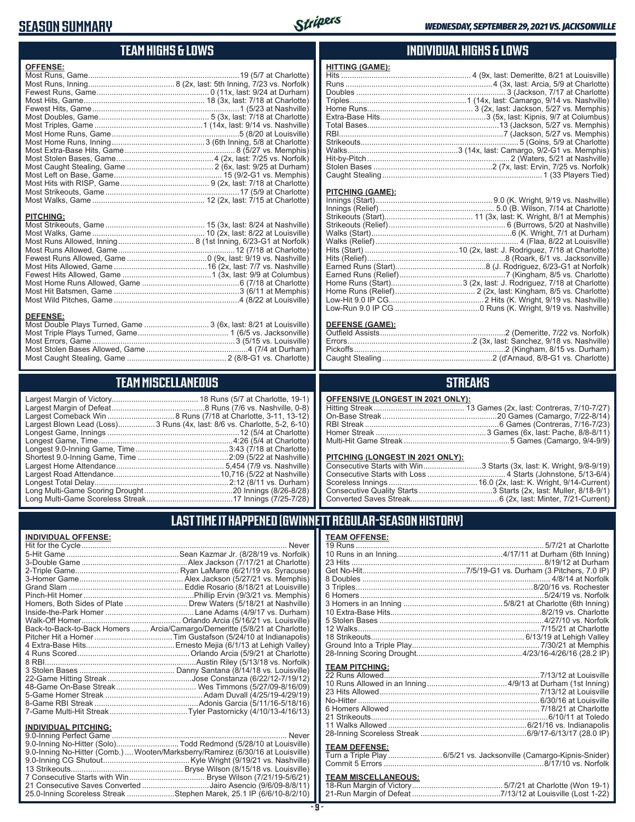## **SEASON SUMMARY**



#### **TEAM HIGHS & LOWS**

Most Caught Stealing, Game .............................................. 2 (8/8-G1 vs. Charlotte)

### **TEAM MISCELLANEOUS**

Most Stolen Bases Allowed, Game ...............................................4 (7/4 at Durham)

| Largest Blown Lead (Loss)3 Runs (4x, last: 8/6 vs. Charlotte, 5-2, 6-10) |
|--------------------------------------------------------------------------|
|                                                                          |
| Longest Game, Time……………………………………………………4:26 (5/4 at Charlotte)            |
|                                                                          |
|                                                                          |
|                                                                          |
|                                                                          |
|                                                                          |
|                                                                          |
|                                                                          |

## **INDIVIDUAL HIGHS & LOWS**

| <b>HITTING (GAME):</b> |  |
|------------------------|--|
|                        |  |
|                        |  |
|                        |  |
|                        |  |
|                        |  |
|                        |  |
|                        |  |
|                        |  |
|                        |  |
|                        |  |
|                        |  |
|                        |  |
|                        |  |
|                        |  |

#### **PITCHING (GAME):**

#### **DEFENSE (GAME):**

#### **STREAKS**

#### **OFFENSIVE (LONGEST IN 2021 ONLY):**

#### **PITCHING (LONGEST IN 2021 ONLY):**

| Consecutive Starts with Win3 Starts (3x, last: K. Wright, 9/8-9/19) |
|---------------------------------------------------------------------|
|                                                                     |
|                                                                     |
|                                                                     |
|                                                                     |

19 Runs ....................................................................................... 5/7/21 at Charlotte 10 Runs in an Inning.................................................4/17/11 at Durham (6th Inning) 23 Hits .........................................................................................8/19/12 at Durham Get No-Hit................................................7/5/19-G1 vs. Durham (3 Pitchers, 7.0 IP) 8 Doubles ....................................................................................... 4/8/14 at Norfolk 3 Triples..................................................................................8/20/16 vs. Rochester 6 Homers.....................................................................................5/24/19 vs. Norfolk 3 Homers in an Inning ..............................................5/8/21 at Charlotte (6th Inning) 10 Extra-Base Hits......................................................................8/2/19 vs. Charlotte 5 Stolen Bases ............................................................................4/27/10 vs. Norfolk 12 Walks.................................................................................... 7/15/21 at Charlotte 18 Strikeouts....................................................................... 6/13/19 at Lehigh Valley Ground Into a Triple Play........................................................... 7/30/21 at Memphis 28-Inning Scoring Drought.................................................4/23/16-4/26/16 (28.2 IP)

## **LAST TIME IT HAPPENED (GWINNETT REGULAR-SEASON HISTORY)**

**TEAM OFFENSE:**

**TEAM PITCHING:**

#### **INDIVIDUAL OFFENSE:**

|                                                        | Homers, Both Sides of Plate  Drew Waters (5/18/21 at Nashville)            |
|--------------------------------------------------------|----------------------------------------------------------------------------|
|                                                        |                                                                            |
|                                                        |                                                                            |
|                                                        | Back-to-Back-to-Back Homers  Arcia/Camargo/Demeritte (5/8/21 at Charlotte) |
|                                                        |                                                                            |
|                                                        |                                                                            |
|                                                        |                                                                            |
|                                                        |                                                                            |
|                                                        |                                                                            |
|                                                        |                                                                            |
|                                                        |                                                                            |
|                                                        |                                                                            |
|                                                        |                                                                            |
|                                                        |                                                                            |
|                                                        |                                                                            |
| <b>INDIVIDUAL PITCHING:</b><br>0.0 Inning Dorfoot Camp | Nover                                                                      |
|                                                        |                                                                            |

| 9.0-Inning No-Hitter (Solo)Todd Redmond (5/28/10 at Louisville)                 |  |
|---------------------------------------------------------------------------------|--|
| 9.0-Inning No-Hitter (Comb.)  Wooten/Marksberry/Ramirez (6/30/16 at Louisville) |  |
|                                                                                 |  |
|                                                                                 |  |
|                                                                                 |  |
| 21 Consecutive Saves Converted Jairo Asencio (9/6/09-8/8/11)                    |  |
| 25.0-Inning Scoreless Streak Stephen Marek, 25.1 IP (6/6/10-8/2/10)             |  |
|                                                                                 |  |

#### **TEAM DEFENSE:**

| Turn a Triple Play 6/5/21 vs. Jacksonville (Camargo-Kipnis-Snider) |  |
|--------------------------------------------------------------------|--|
|                                                                    |  |

22 Runs Allowed........................................................................7/13/12 at Louisville 10 Runs Allowed in an Inning .....................................4/9/13 at Durham (1st Inning) 23 Hits Allowed ..........................................................................7/13/12 at Louisville No-Hitter ....................................................................................6/30/16 at Louisville 6 Homers Allowed ..................................................................... 7/18/21 at Charlotte 21 Strikeouts..................................................................................6/10/11 at Toledo 11 Walks Allowed ................................................................6/21/16 vs. Indianapolis 28-Inning Scoreless Streak .................................................6/9/17-6/13/17 (28.0 IP)

## **TEAM MISCELLANEOUS:**

| 21-Run Margin of Defeat…………………………………7/13/12 at Louisville (Lost 1-22) |  |
|-----------------------------------------------------------------------|--|